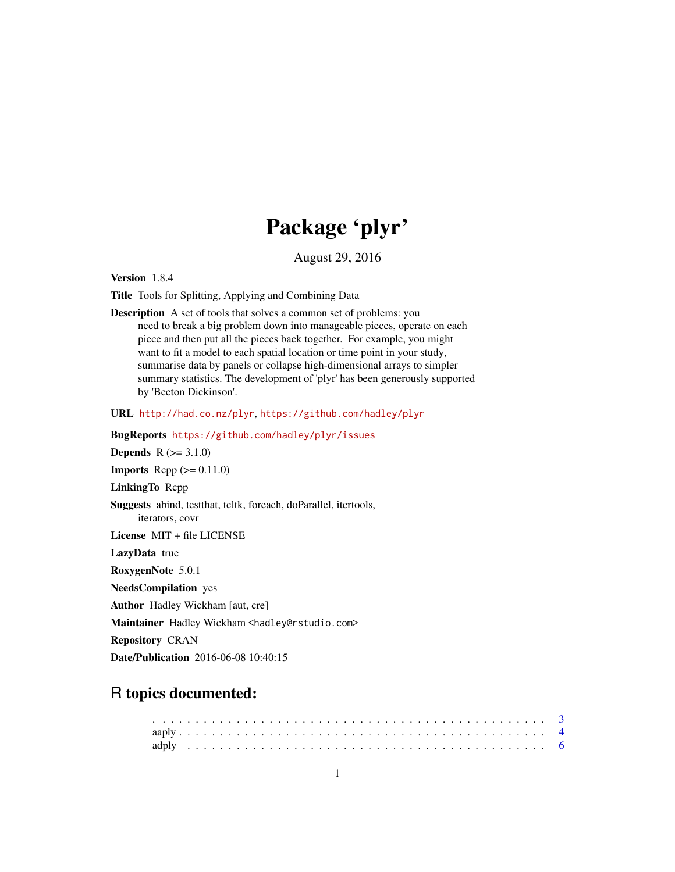# Package 'plyr'

August 29, 2016

<span id="page-0-0"></span>Version 1.8.4

Title Tools for Splitting, Applying and Combining Data

Description A set of tools that solves a common set of problems: you need to break a big problem down into manageable pieces, operate on each piece and then put all the pieces back together. For example, you might want to fit a model to each spatial location or time point in your study, summarise data by panels or collapse high-dimensional arrays to simpler summary statistics. The development of 'plyr' has been generously supported by 'Becton Dickinson'.

URL <http://had.co.nz/plyr>, <https://github.com/hadley/plyr>

BugReports <https://github.com/hadley/plyr/issues> **Depends**  $R (= 3.1.0)$ **Imports** Rcpp  $(>= 0.11.0)$ LinkingTo Rcpp Suggests abind, testthat, tcltk, foreach, doParallel, itertools, iterators, covr License MIT + file LICENSE LazyData true RoxygenNote 5.0.1 NeedsCompilation yes Author Hadley Wickham [aut, cre] Maintainer Hadley Wickham <hadley@rstudio.com>

Repository CRAN

Date/Publication 2016-06-08 10:40:15

# R topics documented: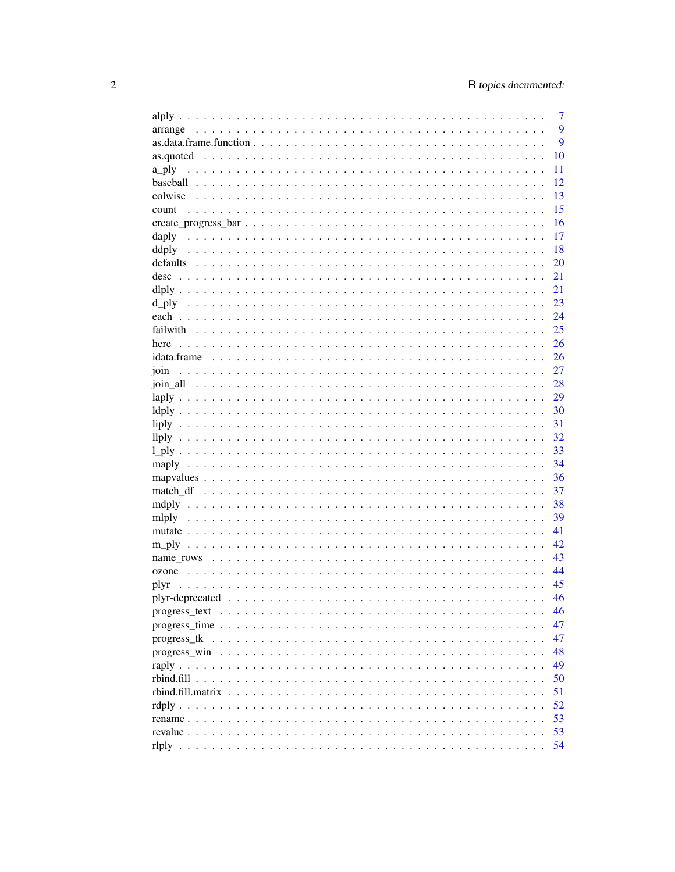|                   | 7  |
|-------------------|----|
|                   | 9  |
|                   | 9  |
|                   | 10 |
| a_ply             | 11 |
|                   | 12 |
|                   | 13 |
| count             | 15 |
|                   | 16 |
| daply             | 17 |
|                   | 18 |
|                   | 20 |
| desc              | 21 |
|                   | 21 |
|                   | 23 |
|                   | 24 |
|                   | 25 |
| here              | 26 |
|                   | 26 |
| join              | 27 |
|                   | 28 |
|                   | 29 |
|                   | 30 |
|                   | 31 |
|                   | 32 |
|                   | 33 |
|                   | 34 |
|                   | 36 |
|                   | 37 |
|                   | 38 |
|                   | 39 |
|                   | 41 |
|                   | 42 |
|                   | 43 |
|                   | 44 |
| plyr              | 45 |
|                   | 46 |
|                   | 46 |
|                   | 47 |
|                   | 47 |
|                   | 48 |
|                   | 49 |
|                   | 50 |
| rbind.fill.matrix | 51 |
|                   | 52 |
|                   | 53 |
|                   | 53 |
|                   | 54 |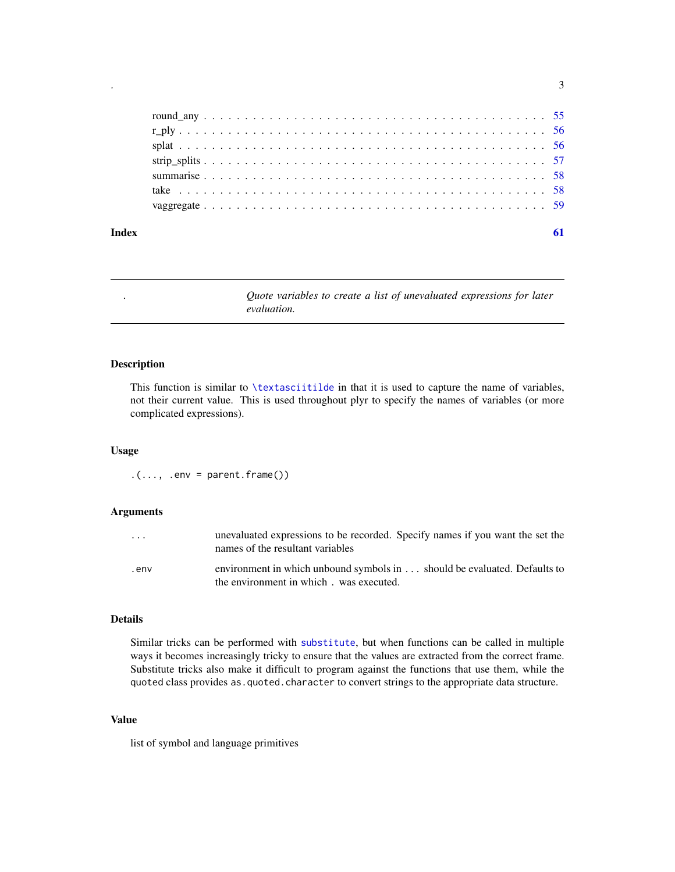<span id="page-2-0"></span>

#### $\blacksquare$  Index  $\blacksquare$

. *Quote variables to create a list of unevaluated expressions for later evaluation.*

# <span id="page-2-1"></span>Description

This function is similar to [\textasciitilde](#page-0-0) in that it is used to capture the name of variables, not their current value. This is used throughout plyr to specify the names of variables (or more complicated expressions).

# Usage

 $.(\ldots, .env = parent-frame())$ 

# Arguments

| $\cdot$ $\cdot$ $\cdot$ | unevaluated expressions to be recorded. Specify names if you want the set the<br>names of the resultant variables   |
|-------------------------|---------------------------------------------------------------------------------------------------------------------|
| env.                    | environment in which unbound symbols in should be evaluated. Defaults to<br>the environment in which. was executed. |

#### Details

Similar tricks can be performed with [substitute](#page-0-0), but when functions can be called in multiple ways it becomes increasingly tricky to ensure that the values are extracted from the correct frame. Substitute tricks also make it difficult to program against the functions that use them, while the quoted class provides as.quoted.character to convert strings to the appropriate data structure.

# Value

list of symbol and language primitives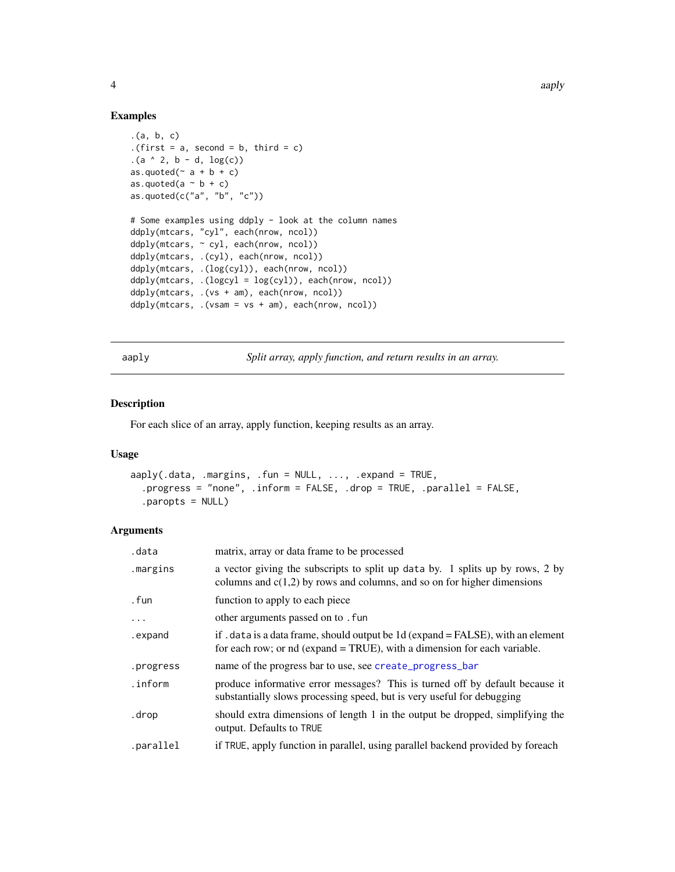# <span id="page-3-0"></span>Examples

```
.(a, b, c)
.(first = a, second = b, third = c)
(a \land 2, b - d, \log(c))as.quoted(\sim a + b + c)
as.quoted(a \sim b + c)
as.quoted(c("a", "b", "c"))
# Some examples using ddply - look at the column names
ddply(mtcars, "cyl", each(nrow, ncol))
ddply(mtcars, ~ cyl, each(nrow, ncol))
ddply(mtcars, .(cyl), each(nrow, ncol))
ddply(mtcars, .(log(cyl)), each(nrow, ncol))
ddply(mtcars, .(logcyl = log(cyl)), each(nrow, ncol))
ddply(mtcars, .(vs + am), each(nrow, ncol))
ddply(mtcars, .(vsam = vs + am), each(nrow, ncol))
```
<span id="page-3-1"></span>aaply *Split array, apply function, and return results in an array.*

#### Description

For each slice of an array, apply function, keeping results as an array.

# Usage

```
aaply(.data, .margins, .fun = NULL, ..., .expand = TRUE,
  .progress = "none", .inform = FALSE, .drop = TRUE, .parallel = FALSE,
  .paropts = NULL)
```
#### Arguments

| .data     | matrix, array or data frame to be processed                                                                                                                  |
|-----------|--------------------------------------------------------------------------------------------------------------------------------------------------------------|
| .margins  | a vector giving the subscripts to split up data by. 1 splits up by rows, 2 by<br>columns and $c(1,2)$ by rows and columns, and so on for higher dimensions   |
| . fun     | function to apply to each piece                                                                                                                              |
| $\cdots$  | other arguments passed on to . fun                                                                                                                           |
| .expand   | if . data is a data frame, should output be 1d (expand = FALSE), with an element<br>for each row; or nd (expand = TRUE), with a dimension for each variable. |
| .progress | name of the progress bar to use, see create_progress_bar                                                                                                     |
| .inform   | produce informative error messages? This is turned off by default because it<br>substantially slows processing speed, but is very useful for debugging       |
| .drop     | should extra dimensions of length 1 in the output be dropped, simplifying the<br>output. Defaults to TRUE                                                    |
| .parallel | if TRUE, apply function in parallel, using parallel backend provided by foreach                                                                              |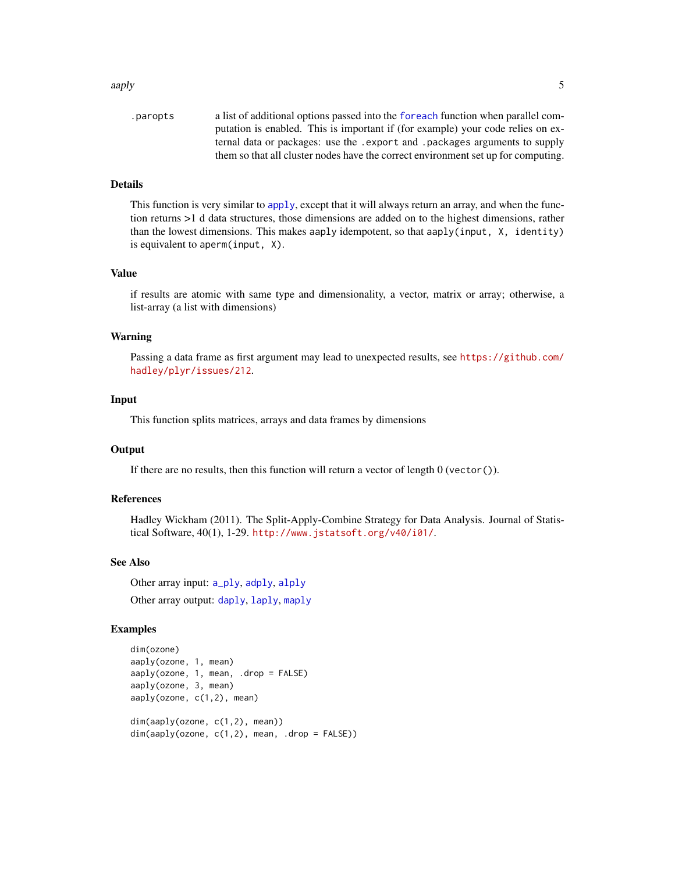#### <span id="page-4-0"></span>aaply 5

| .paropts | a list of additional options passed into the foreach function when parallel com-  |
|----------|-----------------------------------------------------------------------------------|
|          | putation is enabled. This is important if (for example) your code relies on ex-   |
|          | ternal data or packages: use the . export and . packages arguments to supply      |
|          | them so that all cluster nodes have the correct environment set up for computing. |

# Details

This function is very similar to [apply](#page-0-0), except that it will always return an array, and when the function returns >1 d data structures, those dimensions are added on to the highest dimensions, rather than the lowest dimensions. This makes aaply idempotent, so that aaply(input, X, identity) is equivalent to aperm(input, X).

#### Value

if results are atomic with same type and dimensionality, a vector, matrix or array; otherwise, a list-array (a list with dimensions)

#### Warning

Passing a data frame as first argument may lead to unexpected results, see [https://github.com/](https://github.com/hadley/plyr/issues/212) [hadley/plyr/issues/212](https://github.com/hadley/plyr/issues/212).

# Input

This function splits matrices, arrays and data frames by dimensions

#### **Output**

If there are no results, then this function will return a vector of length  $0$  (vector()).

#### References

Hadley Wickham (2011). The Split-Apply-Combine Strategy for Data Analysis. Journal of Statistical Software, 40(1), 1-29. <http://www.jstatsoft.org/v40/i01/>.

# See Also

Other array input: [a\\_ply](#page-10-1), [adply](#page-5-1), [alply](#page-6-1) Other array output: [daply](#page-16-1), [laply](#page-28-1), [maply](#page-33-1)

```
dim(ozone)
aaply(ozone, 1, mean)
aaply(ozone, 1, mean, .drop = FALSE)
aaply(ozone, 3, mean)
aaply(ozone, c(1,2), mean)
dim(aaply(ozone, c(1,2), mean))
dim(aaply(ozone, c(1,2), mean, .drop = FALSE))
```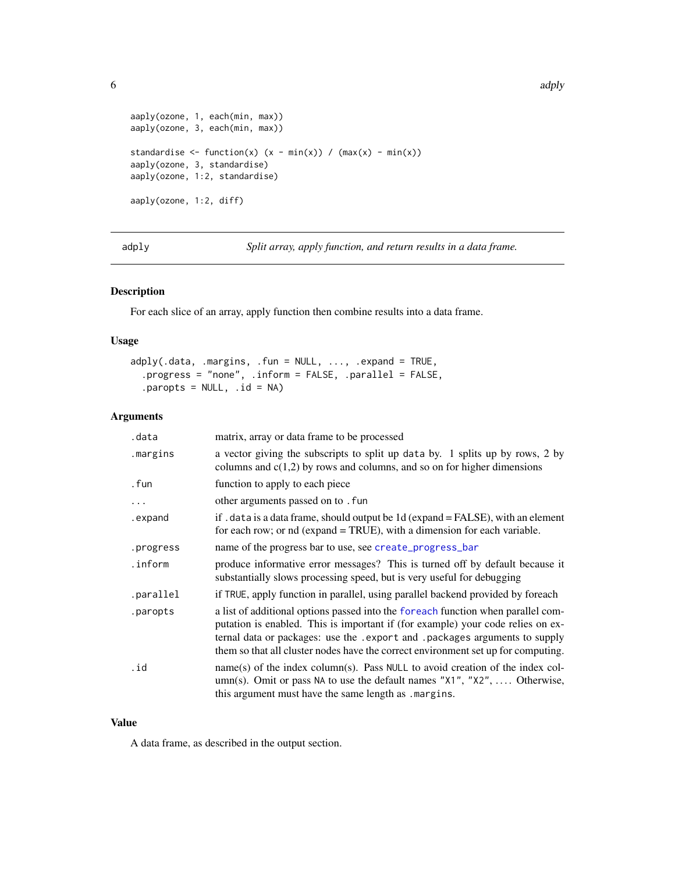```
aaply(ozone, 1, each(min, max))
aaply(ozone, 3, each(min, max))
standardise <- function(x) (x - min(x)) / (max(x) - min(x))aaply(ozone, 3, standardise)
aaply(ozone, 1:2, standardise)
aaply(ozone, 1:2, diff)
```
<span id="page-5-1"></span>adply *Split array, apply function, and return results in a data frame.*

# Description

For each slice of an array, apply function then combine results into a data frame.

# Usage

```
adply(.data, .margins, .fun = NULL, ..., .expand = TRUE,
  .progress = "none", .inform = FALSE, .parallel = FALSE,
  .paropts = NULL, .id = NA)
```
# Arguments

| .data     | matrix, array or data frame to be processed                                                                                                                                                                                                                                                                                              |
|-----------|------------------------------------------------------------------------------------------------------------------------------------------------------------------------------------------------------------------------------------------------------------------------------------------------------------------------------------------|
| .margins  | a vector giving the subscripts to split up data by. 1 splits up by rows, 2 by<br>columns and $c(1,2)$ by rows and columns, and so on for higher dimensions                                                                                                                                                                               |
| . fun     | function to apply to each piece                                                                                                                                                                                                                                                                                                          |
| .         | other arguments passed on to . fun                                                                                                                                                                                                                                                                                                       |
| .expand   | if . data is a data frame, should output be 1d (expand = FALSE), with an element<br>for each row; or nd (expand = TRUE), with a dimension for each variable.                                                                                                                                                                             |
| .progress | name of the progress bar to use, see create_progress_bar                                                                                                                                                                                                                                                                                 |
| .inform   | produce informative error messages? This is turned off by default because it<br>substantially slows processing speed, but is very useful for debugging                                                                                                                                                                                   |
| .parallel | if TRUE, apply function in parallel, using parallel backend provided by foreach                                                                                                                                                                                                                                                          |
| .paropts  | a list of additional options passed into the foreach function when parallel com-<br>putation is enabled. This is important if (for example) your code relies on ex-<br>ternal data or packages: use the . export and . packages arguments to supply<br>them so that all cluster nodes have the correct environment set up for computing. |
| .id       | name(s) of the index column(s). Pass NULL to avoid creation of the index col-<br>umn(s). Omit or pass NA to use the default names "X1", "X2",  Otherwise,<br>this argument must have the same length as . margins.                                                                                                                       |

# Value

A data frame, as described in the output section.

<span id="page-5-0"></span>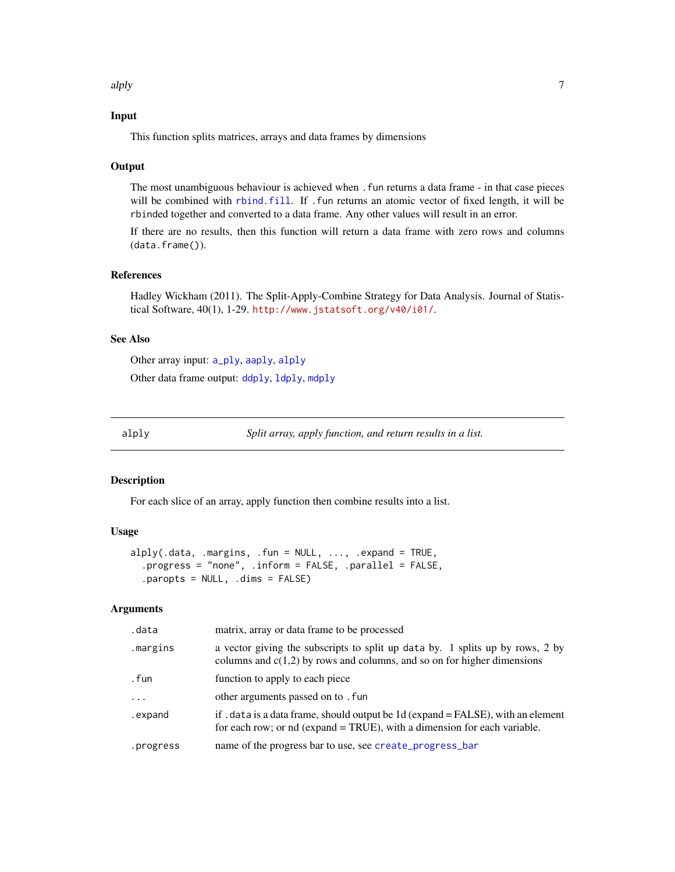<span id="page-6-0"></span>alply the contract of the contract of the contract of the contract of the contract of the contract of the contract of the contract of the contract of the contract of the contract of the contract of the contract of the cont

# Input

This function splits matrices, arrays and data frames by dimensions

#### **Output**

The most unambiguous behaviour is achieved when .fun returns a data frame - in that case pieces will be combined with [rbind.fill](#page-49-1). If .fun returns an atomic vector of fixed length, it will be rbinded together and converted to a data frame. Any other values will result in an error.

If there are no results, then this function will return a data frame with zero rows and columns (data.frame()).

#### References

Hadley Wickham (2011). The Split-Apply-Combine Strategy for Data Analysis. Journal of Statistical Software, 40(1), 1-29. <http://www.jstatsoft.org/v40/i01/>.

#### See Also

Other array input: [a\\_ply](#page-10-1), [aaply](#page-3-1), [alply](#page-6-1) Other data frame output: [ddply](#page-17-1), [ldply](#page-29-1), [mdply](#page-37-1)

<span id="page-6-1"></span>

alply *Split array, apply function, and return results in a list.*

#### Description

For each slice of an array, apply function then combine results into a list.

#### Usage

```
alply(.data, .margins, .fun = NULL, ..., .expand = TRUE,
  .progress = "none", .inform = FALSE, .parallel = FALSE,
  .paropts = NULL, .dims = FALSE)
```
#### Arguments

| .data     | matrix, array or data frame to be processed                                                                                                                  |
|-----------|--------------------------------------------------------------------------------------------------------------------------------------------------------------|
| .margins  | a vector giving the subscripts to split up data by. 1 splits up by rows, 2 by<br>columns and $c(1,2)$ by rows and columns, and so on for higher dimensions   |
| . fun     | function to apply to each piece                                                                                                                              |
| $\cdots$  | other arguments passed on to . fun                                                                                                                           |
| .expand   | if . data is a data frame, should output be 1d (expand = FALSE), with an element<br>for each row; or nd (expand = TRUE), with a dimension for each variable. |
| .progress | name of the progress bar to use, see create_progress_bar                                                                                                     |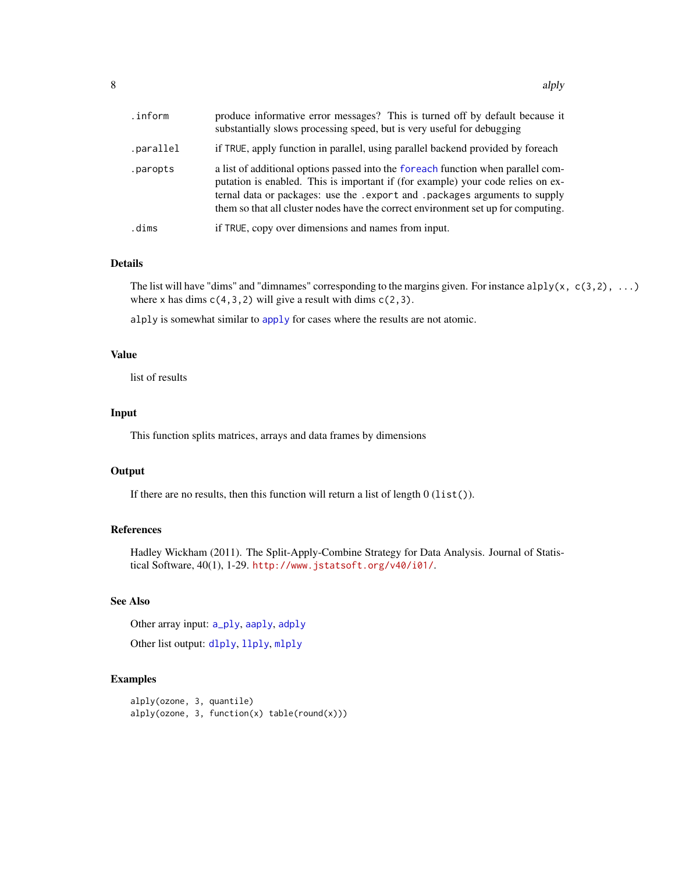<span id="page-7-0"></span>

| .inform.  | produce informative error messages? This is turned off by default because it<br>substantially slows processing speed, but is very useful for debugging                                                                                                                                                                                   |
|-----------|------------------------------------------------------------------------------------------------------------------------------------------------------------------------------------------------------------------------------------------------------------------------------------------------------------------------------------------|
| .parallel | if TRUE, apply function in parallel, using parallel backend provided by foreach                                                                                                                                                                                                                                                          |
| .paropts  | a list of additional options passed into the foreach function when parallel com-<br>putation is enabled. This is important if (for example) your code relies on ex-<br>ternal data or packages: use the . export and . packages arguments to supply<br>them so that all cluster nodes have the correct environment set up for computing. |
| .dims     | if TRUE, copy over dimensions and names from input.                                                                                                                                                                                                                                                                                      |

# Details

The list will have "dims" and "dimnames" corresponding to the margins given. For instance  $\text{alply}(x, c(3,2), ...)$ where x has dims  $c(4,3,2)$  will give a result with dims  $c(2,3)$ .

alply is somewhat similar to [apply](#page-0-0) for cases where the results are not atomic.

#### Value

list of results

#### Input

This function splits matrices, arrays and data frames by dimensions

#### **Output**

If there are no results, then this function will return a list of length  $0$  (list()).

# References

Hadley Wickham (2011). The Split-Apply-Combine Strategy for Data Analysis. Journal of Statistical Software, 40(1), 1-29. <http://www.jstatsoft.org/v40/i01/>.

# See Also

Other array input: [a\\_ply](#page-10-1), [aaply](#page-3-1), [adply](#page-5-1)

Other list output: [dlply](#page-20-1), [llply](#page-31-1), [mlply](#page-38-1)

# Examples

alply(ozone, 3, quantile) alply(ozone, 3, function(x) table(round(x)))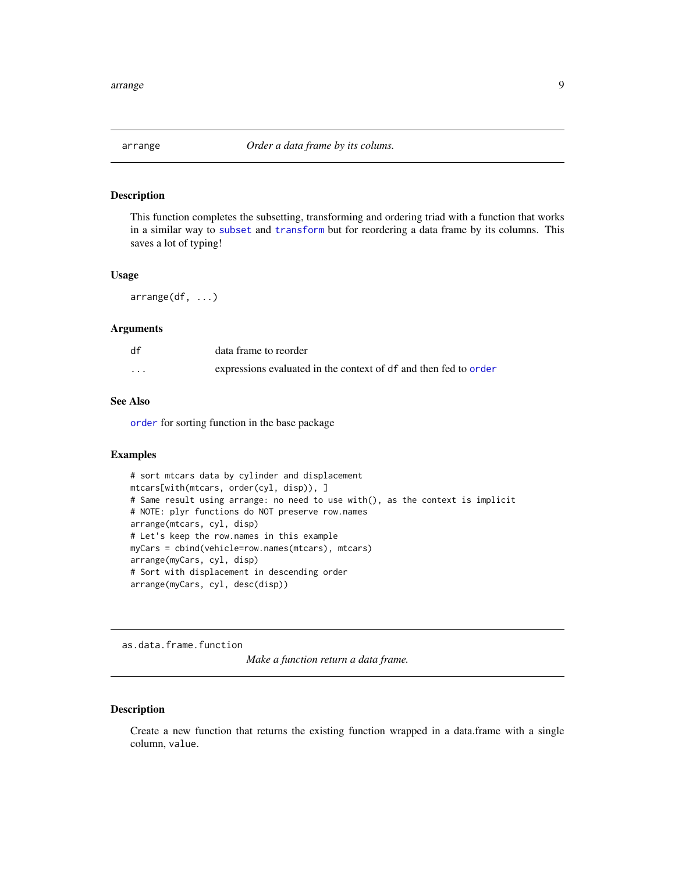<span id="page-8-1"></span><span id="page-8-0"></span>

This function completes the subsetting, transforming and ordering triad with a function that works in a similar way to [subset](#page-0-0) and [transform](#page-0-0) but for reordering a data frame by its columns. This saves a lot of typing!

#### Usage

arrange(df, ...)

#### Arguments

| df       | data frame to reorder                                            |
|----------|------------------------------------------------------------------|
| $\cdots$ | expressions evaluated in the context of df and then fed to order |

#### See Also

[order](#page-0-0) for sorting function in the base package

# Examples

```
# sort mtcars data by cylinder and displacement
mtcars[with(mtcars, order(cyl, disp)), ]
# Same result using arrange: no need to use with(), as the context is implicit
# NOTE: plyr functions do NOT preserve row.names
arrange(mtcars, cyl, disp)
# Let's keep the row.names in this example
myCars = cbind(vehicle=row.names(mtcars), mtcars)
arrange(myCars, cyl, disp)
# Sort with displacement in descending order
arrange(myCars, cyl, desc(disp))
```
as.data.frame.function

*Make a function return a data frame.*

# Description

Create a new function that returns the existing function wrapped in a data.frame with a single column, value.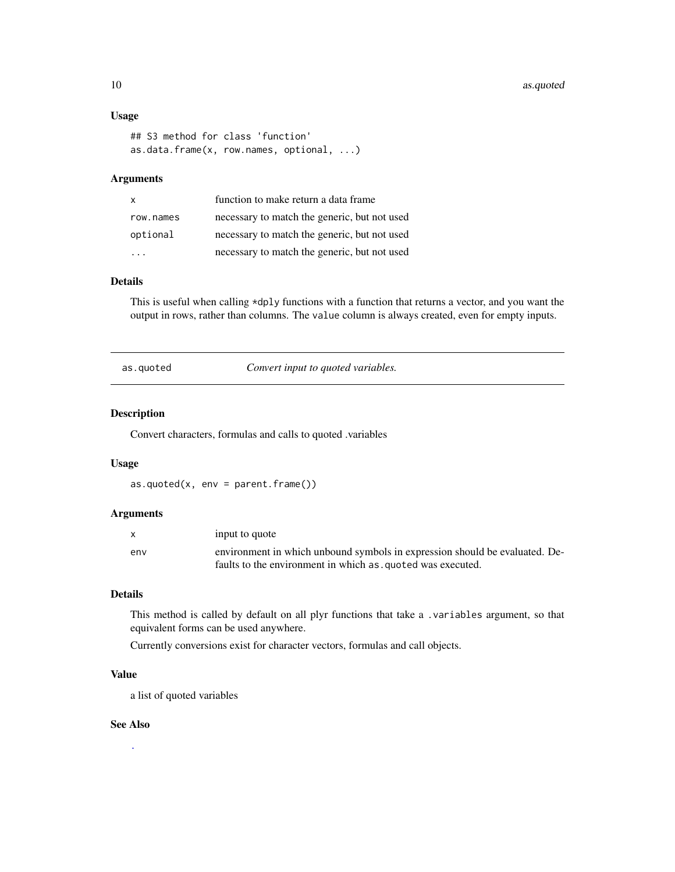#### <span id="page-9-0"></span>10 assumed as a sequence of  $\alpha$  as  $q$  as  $q$  and  $q$  as  $q$  as  $q$  as  $q$  as  $q$  as  $q$  as  $q$  as  $q$  as  $q$  as  $q$  as  $q$  as  $q$  as  $q$  as  $q$  as  $q$  as  $q$  as  $q$  as  $q$  as  $q$  as  $q$  as  $q$  as  $q$  as  $q$  as  $q$  as  $q$

# Usage

```
## S3 method for class 'function'
as.data.frame(x, row.names, optional, ...)
```
#### Arguments

| $\mathsf{x}$ | function to make return a data frame         |
|--------------|----------------------------------------------|
| row.names    | necessary to match the generic, but not used |
| optional     | necessary to match the generic, but not used |
| .            | necessary to match the generic, but not used |

#### Details

This is useful when calling \*dply functions with a function that returns a vector, and you want the output in rows, rather than columns. The value column is always created, even for empty inputs.

<span id="page-9-1"></span>as.quoted *Convert input to quoted variables.*

#### Description

Convert characters, formulas and calls to quoted .variables

#### Usage

 $as.quoted(x, env = parent.frame())$ 

#### Arguments

| $\mathsf{x}$ | input to quote                                                              |
|--------------|-----------------------------------------------------------------------------|
| env          | environment in which unbound symbols in expression should be evaluated. De- |
|              | faults to the environment in which as quoted was executed.                  |

# Details

This method is called by default on all plyr functions that take a .variables argument, so that equivalent forms can be used anywhere.

Currently conversions exist for character vectors, formulas and call objects.

# Value

a list of quoted variables

### See Also

[.](#page-2-1)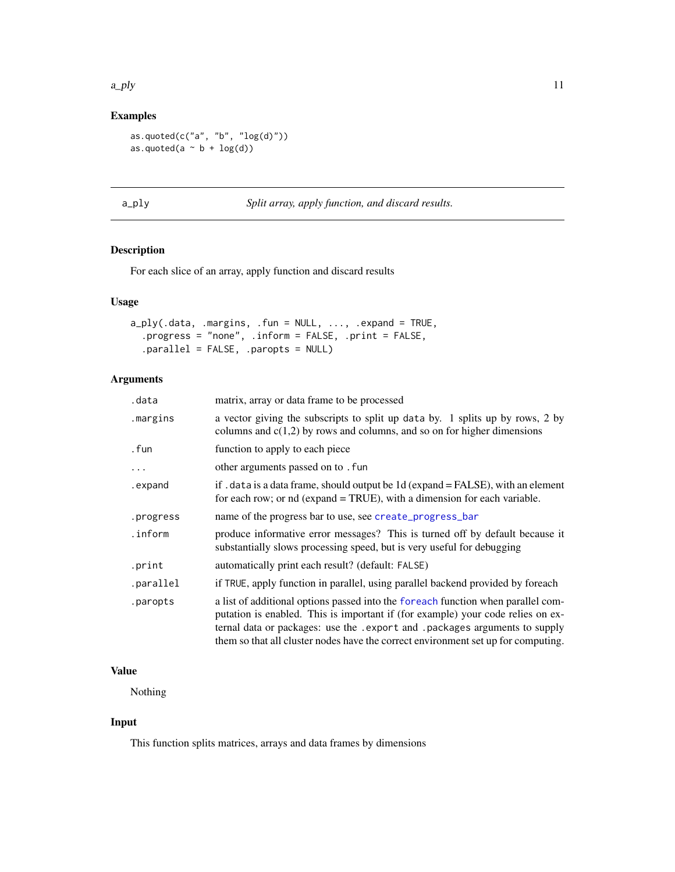#### <span id="page-10-0"></span> $a$ \_ply  $11$

# Examples

as.quoted(c("a", "b", " $log(d)$ ")) as.quoted(a  $\sim$  b + log(d))

<span id="page-10-1"></span>

| ٠ |  |
|---|--|

a\_ply *Split array, apply function, and discard results.*

# Description

For each slice of an array, apply function and discard results

# Usage

```
a_ply(.data, .margins, .fun = NULL, ..., .expand = TRUE,
 .progress = "none", .inform = FALSE, .print = FALSE,
  .parallel = FALSE, .paropts = NULL)
```
# Arguments

| .data     | matrix, array or data frame to be processed                                                                                                                                                                                                                                                                                            |
|-----------|----------------------------------------------------------------------------------------------------------------------------------------------------------------------------------------------------------------------------------------------------------------------------------------------------------------------------------------|
| .margins  | a vector giving the subscripts to split up data by. 1 splits up by rows, 2 by<br>columns and $c(1,2)$ by rows and columns, and so on for higher dimensions                                                                                                                                                                             |
| . fun     | function to apply to each piece                                                                                                                                                                                                                                                                                                        |
| $\ddots$  | other arguments passed on to . fun                                                                                                                                                                                                                                                                                                     |
| .expand   | if . data is a data frame, should output be 1d (expand = FALSE), with an element<br>for each row; or nd (expand = TRUE), with a dimension for each variable.                                                                                                                                                                           |
| .progress | name of the progress bar to use, see create_progress_bar                                                                                                                                                                                                                                                                               |
| .inform   | produce informative error messages? This is turned off by default because it<br>substantially slows processing speed, but is very useful for debugging                                                                                                                                                                                 |
| .print    | automatically print each result? (default: FALSE)                                                                                                                                                                                                                                                                                      |
| .parallel | if TRUE, apply function in parallel, using parallel backend provided by foreach                                                                                                                                                                                                                                                        |
| .paropts  | a list of additional options passed into the foreach function when parallel com-<br>putation is enabled. This is important if (for example) your code relies on ex-<br>ternal data or packages: use the .export and .packages arguments to supply<br>them so that all cluster nodes have the correct environment set up for computing. |

#### Value

Nothing

# Input

This function splits matrices, arrays and data frames by dimensions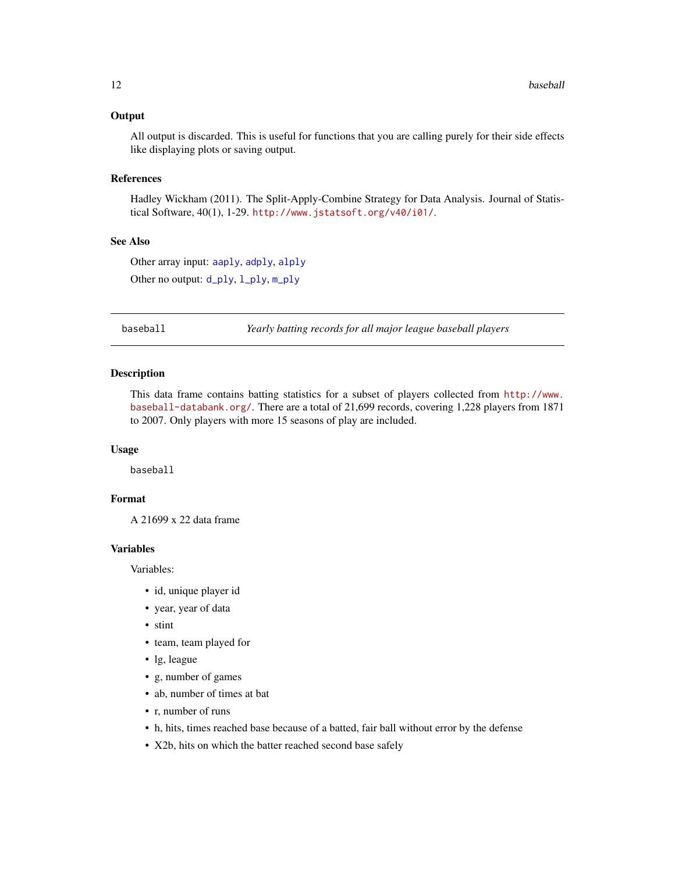# <span id="page-11-0"></span>**Output**

All output is discarded. This is useful for functions that you are calling purely for their side effects like displaying plots or saving output.

#### References

Hadley Wickham (2011). The Split-Apply-Combine Strategy for Data Analysis. Journal of Statistical Software, 40(1), 1-29. <http://www.jstatsoft.org/v40/i01/>.

#### See Also

Other array input: [aaply](#page-3-1), [adply](#page-5-1), [alply](#page-6-1) Other no output: [d\\_ply](#page-22-1), [l\\_ply](#page-32-1), [m\\_ply](#page-41-1)

baseball *Yearly batting records for all major league baseball players*

#### Description

This data frame contains batting statistics for a subset of players collected from [http://www.](http://www.baseball-databank.org/) [baseball-databank.org/](http://www.baseball-databank.org/). There are a total of 21,699 records, covering 1,228 players from 1871 to 2007. Only players with more 15 seasons of play are included.

#### Usage

baseball

# Format

A 21699 x 22 data frame

#### Variables

Variables:

- id, unique player id
- year, year of data
- stint
- team, team played for
- lg, league
- g, number of games
- ab, number of times at bat
- r, number of runs
- h, hits, times reached base because of a batted, fair ball without error by the defense
- X2b, hits on which the batter reached second base safely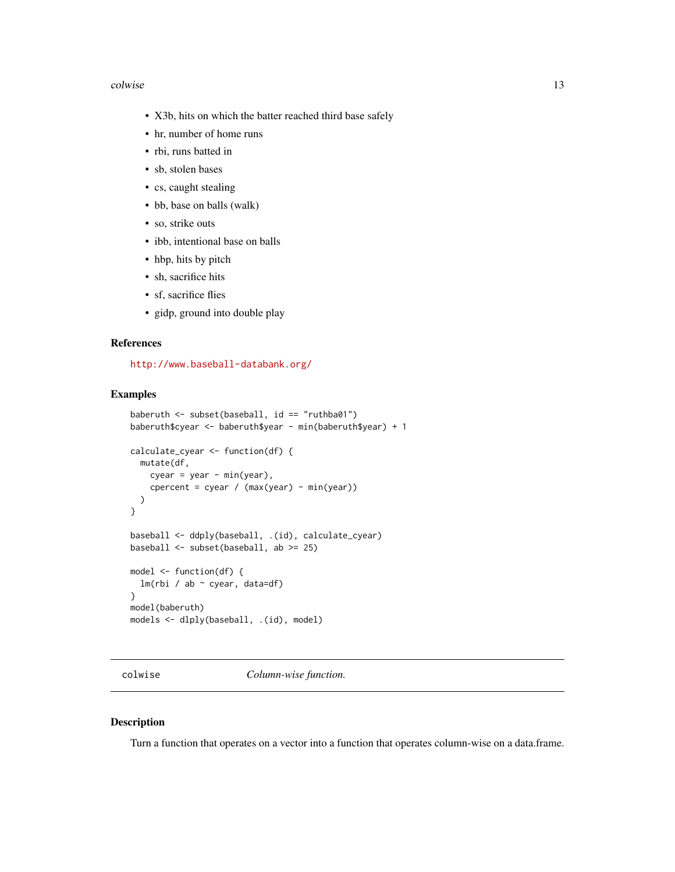#### <span id="page-12-0"></span>colwise the collection of the collection of the collection of the collection of the collection of the collection of the collection of the collection of the collection of the collection of the collection of the collection o

- X3b, hits on which the batter reached third base safely
- hr, number of home runs
- rbi, runs batted in
- sb, stolen bases
- cs, caught stealing
- bb, base on balls (walk)
- so, strike outs
- ibb, intentional base on balls
- hbp, hits by pitch
- sh, sacrifice hits
- sf, sacrifice flies
- gidp, ground into double play

#### References

<http://www.baseball-databank.org/>

#### Examples

```
baberuth <- subset(baseball, id == "ruthba01")
baberuth$cyear <- baberuth$year - min(baberuth$year) + 1
calculate_cyear <- function(df) {
  mutate(df,
   cyear = year - min(year),
    cpercent = cyear / (max(year) - min(year)))
}
baseball <- ddply(baseball, .(id), calculate_cyear)
baseball <- subset(baseball, ab >= 25)
model <- function(df) {
  lm(rbi / ab ~ cyear, data=df)
}
model(baberuth)
models <- dlply(baseball, .(id), model)
```
<span id="page-12-1"></span>colwise *Column-wise function.*

#### Description

Turn a function that operates on a vector into a function that operates column-wise on a data.frame.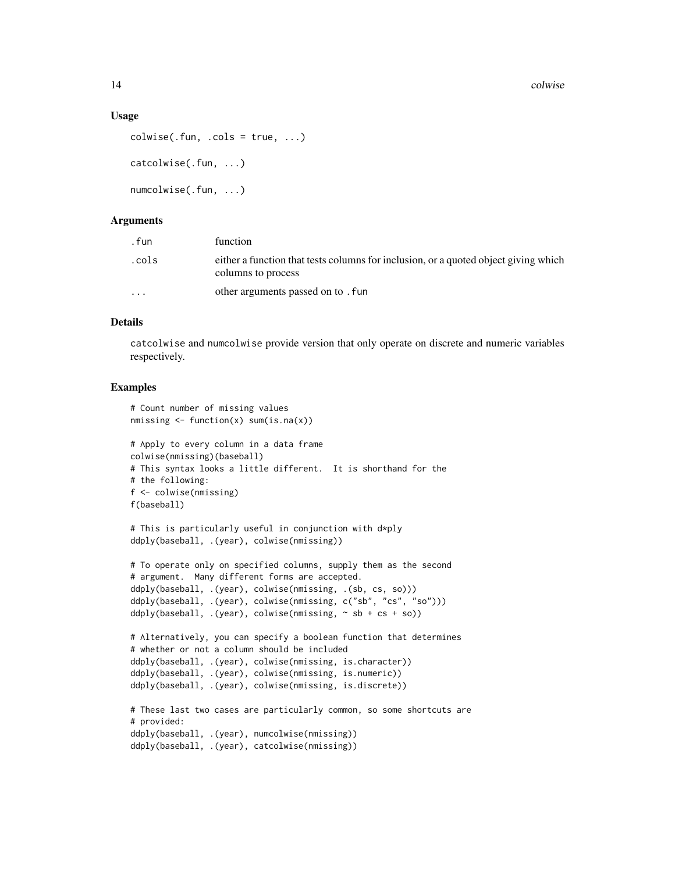#### Usage

```
colwise(.fun, .cols = true, . . .)catcolwise(.fun, ...)
numcolwise(.fun, ...)
```
# **Arguments**

| . fun                | function                                                                                                  |
|----------------------|-----------------------------------------------------------------------------------------------------------|
| .cols                | either a function that tests columns for inclusion, or a quoted object giving which<br>columns to process |
| $\ddot{\phantom{0}}$ | other arguments passed on to . fun                                                                        |

#### Details

catcolwise and numcolwise provide version that only operate on discrete and numeric variables respectively.

```
# Count number of missing values
nmissing <- function(x) sum(is.na(x))
# Apply to every column in a data frame
colwise(nmissing)(baseball)
# This syntax looks a little different. It is shorthand for the
# the following:
f <- colwise(nmissing)
f(baseball)
# This is particularly useful in conjunction with d*ply
ddply(baseball, .(year), colwise(nmissing))
# To operate only on specified columns, supply them as the second
# argument. Many different forms are accepted.
ddply(baseball, .(year), colwise(nmissing, .(sb, cs, so)))
ddply(baseball, .(year), colwise(nmissing, c("sb", "cs", "so")))
ddply(baseball, .(year), colwise(nmissing, \sim sb + cs + so))
# Alternatively, you can specify a boolean function that determines
# whether or not a column should be included
ddply(baseball, .(year), colwise(nmissing, is.character))
ddply(baseball, .(year), colwise(nmissing, is.numeric))
ddply(baseball, .(year), colwise(nmissing, is.discrete))
# These last two cases are particularly common, so some shortcuts are
# provided:
ddply(baseball, .(year), numcolwise(nmissing))
ddply(baseball, .(year), catcolwise(nmissing))
```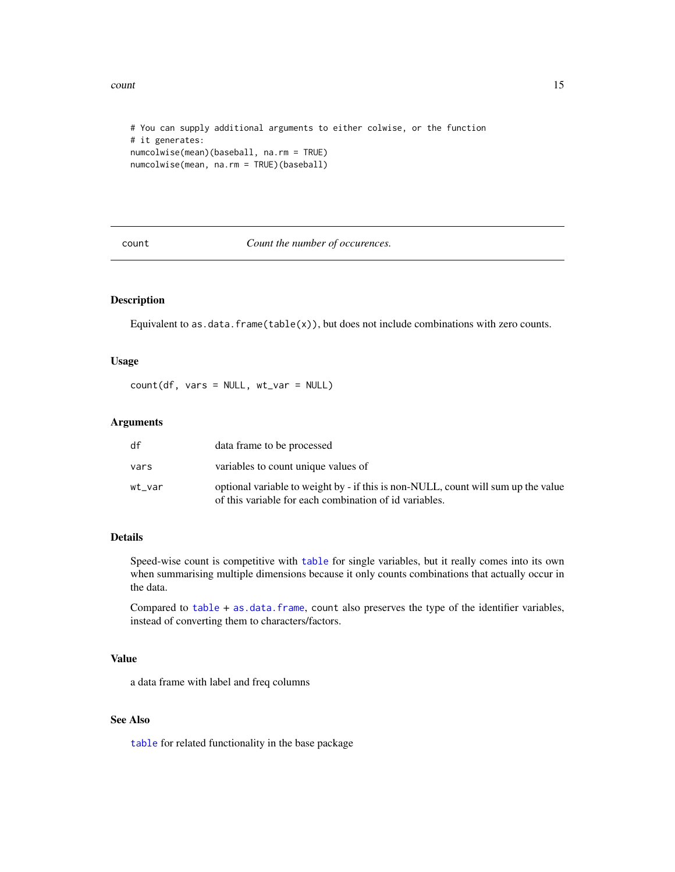<span id="page-14-0"></span>count and the count of the count of the count of the count of the count of the count of the count of the count of the count of the count of the count of the count of the count of the count of the count of the count of the

```
# You can supply additional arguments to either colwise, or the function
# it generates:
numcolwise(mean)(baseball, na.rm = TRUE)
numcolwise(mean, na.rm = TRUE)(baseball)
```
<span id="page-14-1"></span>count *Count the number of occurences.*

# Description

Equivalent to as.data.frame(table(x)), but does not include combinations with zero counts.

#### Usage

 $count(df, vars = NULL, wt_var = NULL)$ 

# Arguments

| df     | data frame to be processed                                                                                                                  |
|--------|---------------------------------------------------------------------------------------------------------------------------------------------|
| vars   | variables to count unique values of                                                                                                         |
| wt var | optional variable to weight by - if this is non-NULL, count will sum up the value<br>of this variable for each combination of id variables. |

#### Details

Speed-wise count is competitive with [table](#page-0-0) for single variables, but it really comes into its own when summarising multiple dimensions because it only counts combinations that actually occur in the data.

Compared to [table](#page-0-0) + [as.data.frame](#page-0-0), count also preserves the type of the identifier variables, instead of converting them to characters/factors.

# Value

a data frame with label and freq columns

# See Also

[table](#page-0-0) for related functionality in the base package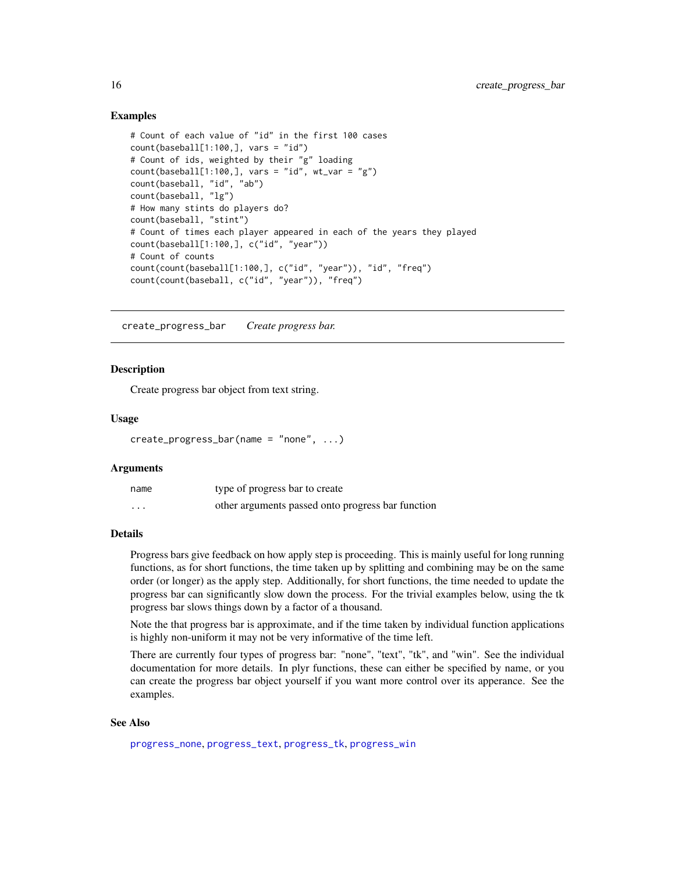# Examples

```
# Count of each value of "id" in the first 100 cases
count(baseball[1:100,], vars = "id")# Count of ids, weighted by their "g" loading
count(baseball[1:100,], vars = "id", wt_var = "g")count(baseball, "id", "ab")
count(baseball, "lg")
# How many stints do players do?
count(baseball, "stint")
# Count of times each player appeared in each of the years they played
count(baseball[1:100,], c("id", "year"))
# Count of counts
count(count(baseball[1:100,], c("id", "year")), "id", "freq")
count(count(baseball, c("id", "year")), "freq")
```
<span id="page-15-1"></span>create\_progress\_bar *Create progress bar.*

#### Description

Create progress bar object from text string.

#### Usage

```
create_progress_bar(name = "none", ...)
```
#### Arguments

| name                 | type of progress bar to create                    |
|----------------------|---------------------------------------------------|
| $\ddot{\phantom{0}}$ | other arguments passed onto progress bar function |

# Details

Progress bars give feedback on how apply step is proceeding. This is mainly useful for long running functions, as for short functions, the time taken up by splitting and combining may be on the same order (or longer) as the apply step. Additionally, for short functions, the time needed to update the progress bar can significantly slow down the process. For the trivial examples below, using the tk progress bar slows things down by a factor of a thousand.

Note the that progress bar is approximate, and if the time taken by individual function applications is highly non-uniform it may not be very informative of the time left.

There are currently four types of progress bar: "none", "text", "tk", and "win". See the individual documentation for more details. In plyr functions, these can either be specified by name, or you can create the progress bar object yourself if you want more control over its apperance. See the examples.

#### See Also

[progress\\_none](#page-0-0), [progress\\_text](#page-45-1), [progress\\_tk](#page-46-1), [progress\\_win](#page-47-1)

<span id="page-15-0"></span>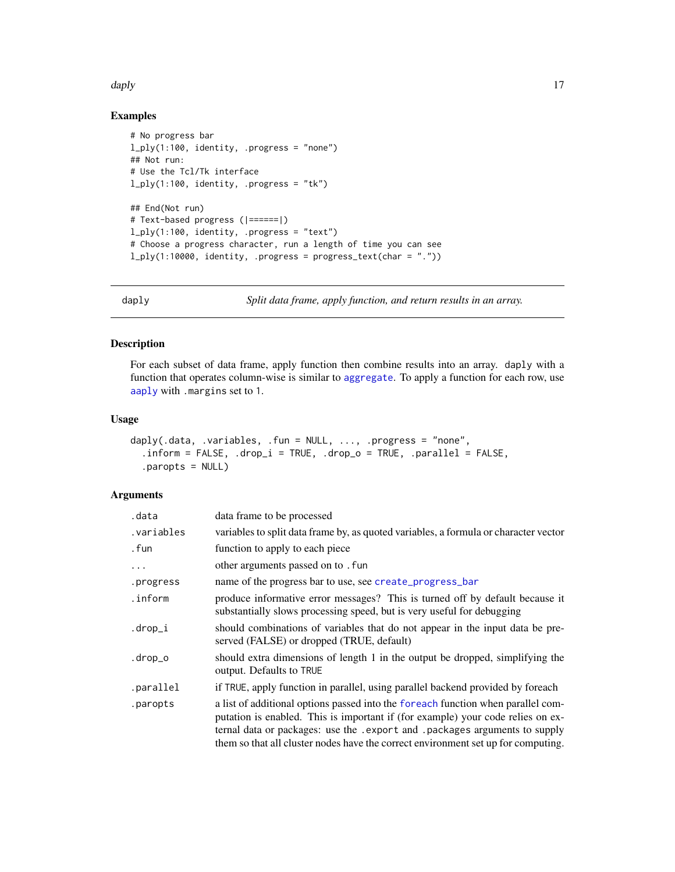#### <span id="page-16-0"></span>daply the contract of the contract of the contract of the contract of the contract of the contract of the contract of the contract of the contract of the contract of the contract of the contract of the contract of the cont

# Examples

```
# No progress bar
l_ply(1:100, identity, .progress = "none")
## Not run:
# Use the Tcl/Tk interface
l_ply(1:100, identity, .progress = "tk")
## End(Not run)
# Text-based progress (|======|)
l_ply(1:100, identity, .progress = "text")
# Choose a progress character, run a length of time you can see
l_ply(1:10000, identity, .progress = progress_text(char = "."))
```
<span id="page-16-1"></span>

daply *Split data frame, apply function, and return results in an array.*

# Description

For each subset of data frame, apply function then combine results into an array. daply with a function that operates column-wise is similar to [aggregate](#page-0-0). To apply a function for each row, use [aaply](#page-3-1) with .margins set to 1.

# Usage

```
daply(.data, .variables, .fun = NULL, ..., .progress = "none",
  .inform = FALSE, .drop_i = TRUE, .drop_o = TRUE, .parallel = FALSE,
  .paropts = NULL)
```
# Arguments

| .data      | data frame to be processed                                                                                                                                                                                                                                                                                                               |
|------------|------------------------------------------------------------------------------------------------------------------------------------------------------------------------------------------------------------------------------------------------------------------------------------------------------------------------------------------|
| .variables | variables to split data frame by, as quoted variables, a formula or character vector                                                                                                                                                                                                                                                     |
| . fun      | function to apply to each piece                                                                                                                                                                                                                                                                                                          |
| .          | other arguments passed on to . fun                                                                                                                                                                                                                                                                                                       |
| .progress  | name of the progress bar to use, see create_progress_bar                                                                                                                                                                                                                                                                                 |
| .inform    | produce informative error messages? This is turned off by default because it<br>substantially slows processing speed, but is very useful for debugging                                                                                                                                                                                   |
| .drop_i    | should combinations of variables that do not appear in the input data be pre-<br>served (FALSE) or dropped (TRUE, default)                                                                                                                                                                                                               |
| .drop_o    | should extra dimensions of length 1 in the output be dropped, simplifying the<br>output. Defaults to TRUE                                                                                                                                                                                                                                |
| .parallel  | if TRUE, apply function in parallel, using parallel backend provided by foreach                                                                                                                                                                                                                                                          |
| .paropts   | a list of additional options passed into the foreach function when parallel com-<br>putation is enabled. This is important if (for example) your code relies on ex-<br>ternal data or packages: use the . export and . packages arguments to supply<br>them so that all cluster nodes have the correct environment set up for computing. |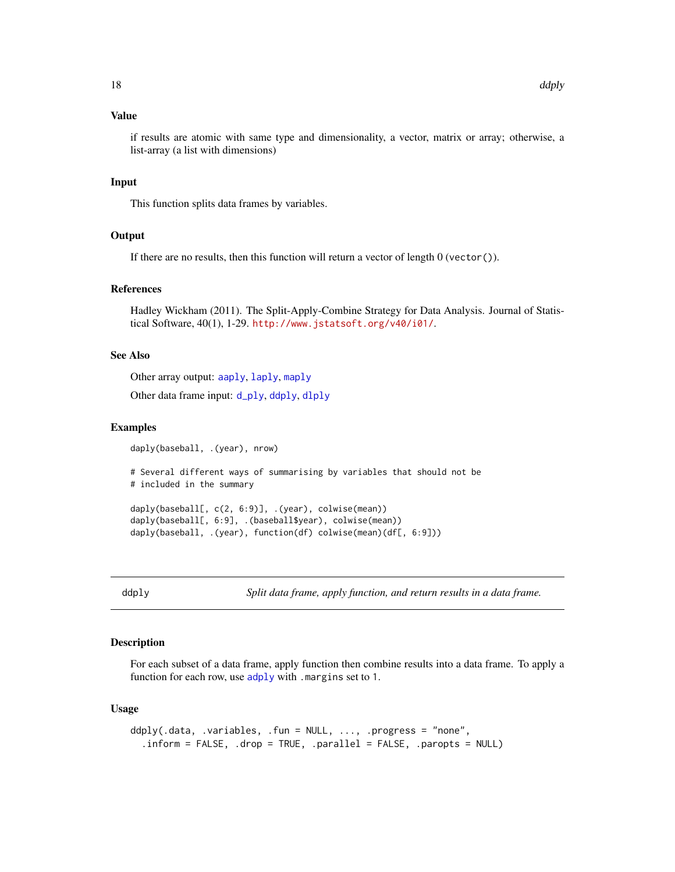# <span id="page-17-0"></span>Value

if results are atomic with same type and dimensionality, a vector, matrix or array; otherwise, a list-array (a list with dimensions)

#### Input

This function splits data frames by variables.

# **Output**

If there are no results, then this function will return a vector of length  $0$  (vector()).

# References

Hadley Wickham (2011). The Split-Apply-Combine Strategy for Data Analysis. Journal of Statistical Software, 40(1), 1-29. <http://www.jstatsoft.org/v40/i01/>.

#### See Also

Other array output: [aaply](#page-3-1), [laply](#page-28-1), [maply](#page-33-1)

Other data frame input: [d\\_ply](#page-22-1), [ddply](#page-17-1), [dlply](#page-20-1)

#### Examples

```
daply(baseball, .(year), nrow)
# Several different ways of summarising by variables that should not be
# included in the summary
daply(baseball[, c(2, 6:9)], .(year), colwise(mean))
daply(baseball[, 6:9], .(baseball$year), colwise(mean))
daply(baseball, .(year), function(df) colwise(mean)(df[, 6:9]))
```
<span id="page-17-1"></span>

ddply *Split data frame, apply function, and return results in a data frame.*

#### Description

For each subset of a data frame, apply function then combine results into a data frame. To apply a function for each row, use [adply](#page-5-1) with .margins set to 1.

#### Usage

```
ddply(.data, .variables, .fun = NULL, ..., .progress = "none",
  .inform = FALSE, .drop = TRUE, .parallel = FALSE, .paropts = NULL)
```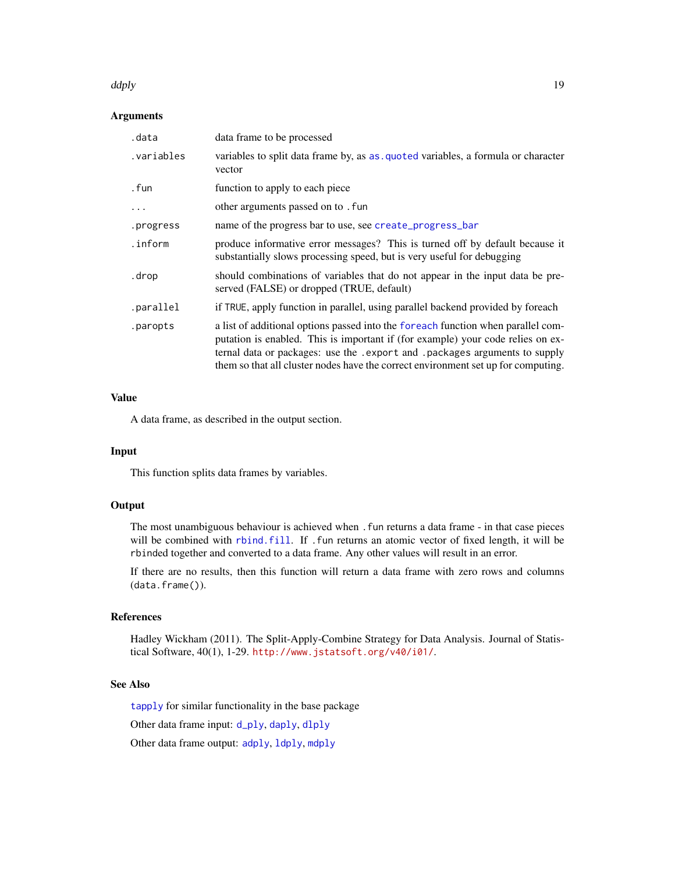#### <span id="page-18-0"></span>ddply the control of the control of the control of the control of the control of the control of the control of the control of the control of the control of the control of the control of the control of the control of the co

# Arguments

| .data      | data frame to be processed                                                                                                                                                                                                                                                                                                               |
|------------|------------------------------------------------------------------------------------------------------------------------------------------------------------------------------------------------------------------------------------------------------------------------------------------------------------------------------------------|
| .variables | variables to split data frame by, as as quoted variables, a formula or character<br>vector                                                                                                                                                                                                                                               |
| . fun      | function to apply to each piece                                                                                                                                                                                                                                                                                                          |
|            | other arguments passed on to . fun                                                                                                                                                                                                                                                                                                       |
| .progress  | name of the progress bar to use, see create_progress_bar                                                                                                                                                                                                                                                                                 |
| .inform    | produce informative error messages? This is turned off by default because it<br>substantially slows processing speed, but is very useful for debugging                                                                                                                                                                                   |
| .drop      | should combinations of variables that do not appear in the input data be pre-<br>served (FALSE) or dropped (TRUE, default)                                                                                                                                                                                                               |
| .parallel  | if TRUE, apply function in parallel, using parallel backend provided by foreach                                                                                                                                                                                                                                                          |
| .paropts   | a list of additional options passed into the foreach function when parallel com-<br>putation is enabled. This is important if (for example) your code relies on ex-<br>ternal data or packages: use the . export and . packages arguments to supply<br>them so that all cluster nodes have the correct environment set up for computing. |

#### Value

A data frame, as described in the output section.

# Input

This function splits data frames by variables.

# **Output**

The most unambiguous behaviour is achieved when . fun returns a data frame - in that case pieces will be combined with [rbind.fill](#page-49-1). If .fun returns an atomic vector of fixed length, it will be rbinded together and converted to a data frame. Any other values will result in an error.

If there are no results, then this function will return a data frame with zero rows and columns (data.frame()).

# References

Hadley Wickham (2011). The Split-Apply-Combine Strategy for Data Analysis. Journal of Statistical Software, 40(1), 1-29. <http://www.jstatsoft.org/v40/i01/>.

# See Also

[tapply](#page-0-0) for similar functionality in the base package

Other data frame input: [d\\_ply](#page-22-1), [daply](#page-16-1), [dlply](#page-20-1)

Other data frame output: [adply](#page-5-1), [ldply](#page-29-1), [mdply](#page-37-1)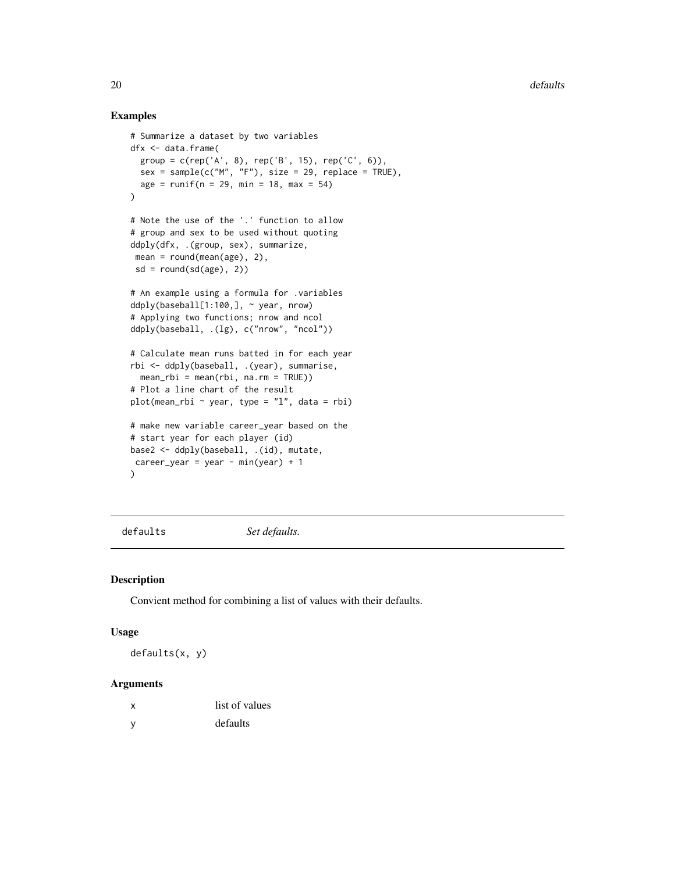#### Examples

```
# Summarize a dataset by two variables
dfx <- data.frame(
  group = c(rep('A', 8), rep('B', 15), rep('C', 6)),
  sex = sample(c("M", "F"), size = 29, replace = TRUE),age = runif(n = 29, min = 18, max = 54))
# Note the use of the '.' function to allow
# group and sex to be used without quoting
ddply(dfx, .(group, sex), summarize,
mean = round(mean(age), 2),sd = round(sd(age), 2)# An example using a formula for .variables
ddply(baseball[1:100,], ~\sim year, nrow)
# Applying two functions; nrow and ncol
ddply(baseball, .(lg), c("nrow", "ncol"))
# Calculate mean runs batted in for each year
rbi <- ddply(baseball, .(year), summarise,
  mean_rbi = mean(rbi, na.rm = TRUE)# Plot a line chart of the result
plot(mean_rbi ~ year, type = "l", data = rbi)
# make new variable career_year based on the
# start year for each player (id)
base2 <- ddply(baseball, .(id), mutate,
career_{year} = year - min(year) + 1)
```
defaults *Set defaults.*

#### Description

Convient method for combining a list of values with their defaults.

#### Usage

defaults(x, y)

# Arguments

| x | list of values |
|---|----------------|
| y | defaults       |

<span id="page-19-0"></span>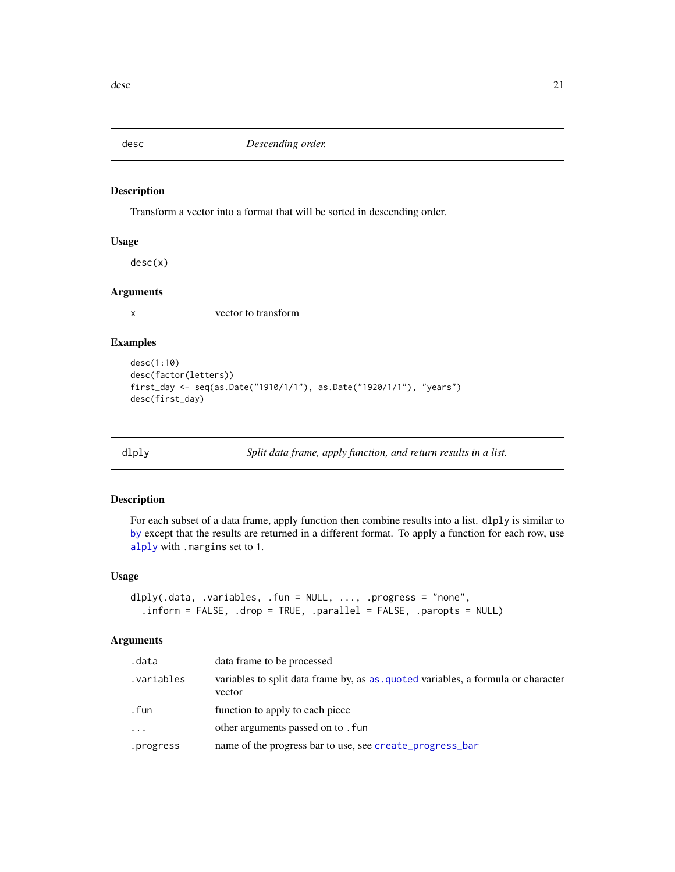<span id="page-20-0"></span>

Transform a vector into a format that will be sorted in descending order.

# Usage

desc(x)

# Arguments

x vector to transform

#### Examples

```
desc(1:10)
desc(factor(letters))
first_day <- seq(as.Date("1910/1/1"), as.Date("1920/1/1"), "years")
desc(first_day)
```
<span id="page-20-1"></span>

dlply *Split data frame, apply function, and return results in a list.*

# Description

For each subset of a data frame, apply function then combine results into a list. dlply is similar to [by](#page-0-0) except that the results are returned in a different format. To apply a function for each row, use [alply](#page-6-1) with .margins set to 1.

# Usage

```
dlply(.data, .variables, .fun = NULL, ..., .progress = "none",
  .inform = FALSE, .drop = TRUE, .parallel = FALSE, .paropts = NULL)
```
#### Arguments

| .data       | data frame to be processed                                                                 |
|-------------|--------------------------------------------------------------------------------------------|
| .variables. | variables to split data frame by, as as quoted variables, a formula or character<br>vector |
| . fun       | function to apply to each piece                                                            |
| $\cdots$    | other arguments passed on to . fun                                                         |
| .progress   | name of the progress bar to use, see create_progress_bar                                   |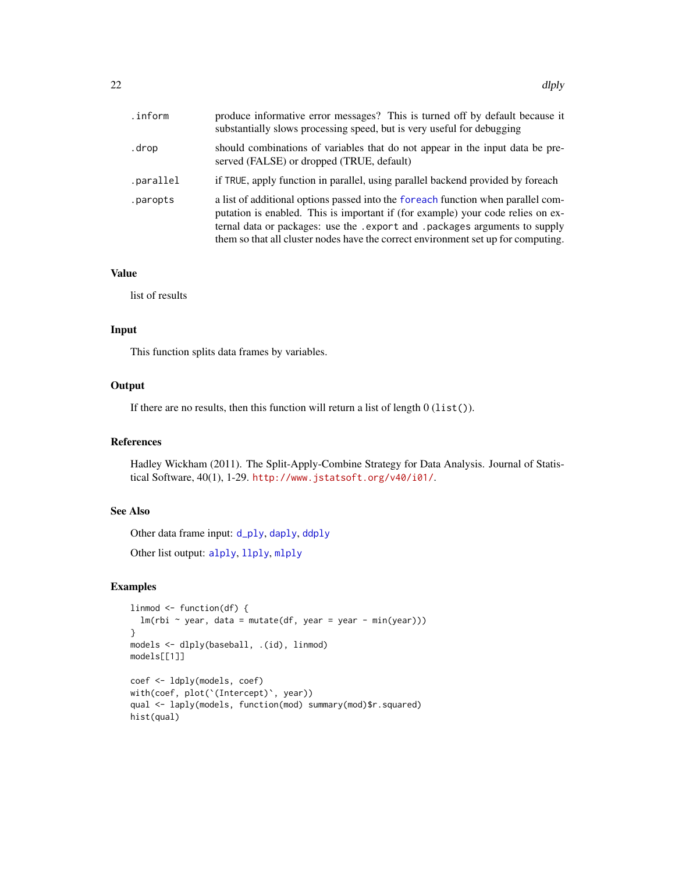<span id="page-21-0"></span>

| .inform.  | produce informative error messages? This is turned off by default because it<br>substantially slows processing speed, but is very useful for debugging                                                                                                                                                                                   |
|-----------|------------------------------------------------------------------------------------------------------------------------------------------------------------------------------------------------------------------------------------------------------------------------------------------------------------------------------------------|
| .drop     | should combinations of variables that do not appear in the input data be pre-<br>served (FALSE) or dropped (TRUE, default)                                                                                                                                                                                                               |
| .parallel | if TRUE, apply function in parallel, using parallel backend provided by foreach                                                                                                                                                                                                                                                          |
| .paropts  | a list of additional options passed into the foreach function when parallel com-<br>putation is enabled. This is important if (for example) your code relies on ex-<br>ternal data or packages: use the . export and . packages arguments to supply<br>them so that all cluster nodes have the correct environment set up for computing. |

# Value

list of results

# Input

This function splits data frames by variables.

# **Output**

If there are no results, then this function will return a list of length  $0$  (list()).

# References

Hadley Wickham (2011). The Split-Apply-Combine Strategy for Data Analysis. Journal of Statistical Software, 40(1), 1-29. <http://www.jstatsoft.org/v40/i01/>.

#### See Also

Other data frame input: [d\\_ply](#page-22-1), [daply](#page-16-1), [ddply](#page-17-1)

Other list output: [alply](#page-6-1), [llply](#page-31-1), [mlply](#page-38-1)

```
linmod <- function(df) {
  lm(rbi ~ vear, data = mutate(df, year = year - min(year)))}
models <- dlply(baseball, .(id), linmod)
models[[1]]
coef <- ldply(models, coef)
with(coef, plot(`(Intercept)`, year))
qual <- laply(models, function(mod) summary(mod)$r.squared)
hist(qual)
```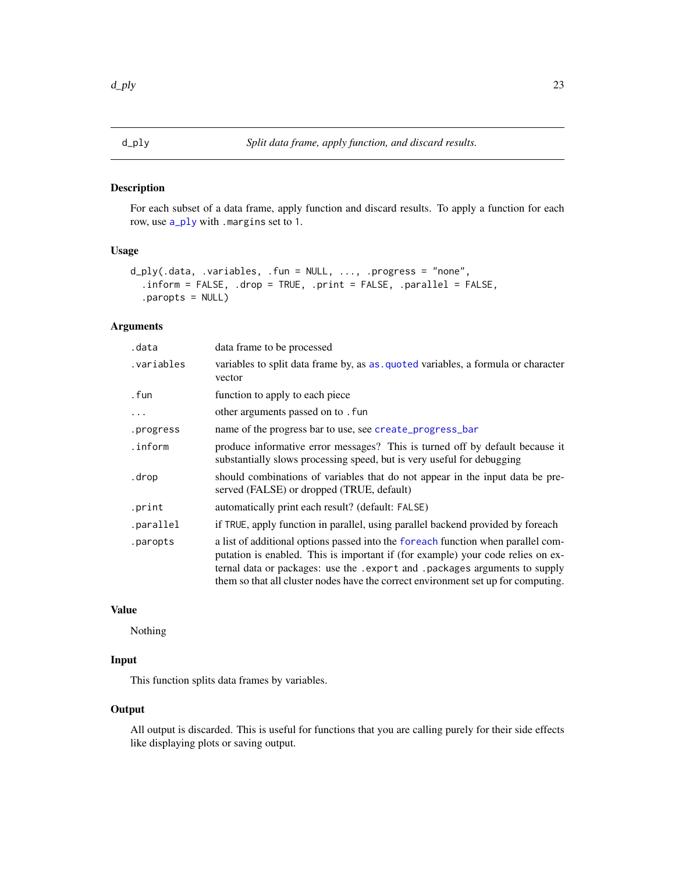<span id="page-22-1"></span><span id="page-22-0"></span>For each subset of a data frame, apply function and discard results. To apply a function for each row, use [a\\_ply](#page-10-1) with .margins set to 1.

#### Usage

```
d_ply(.data, .variables, .fun = NULL, ..., .progress = "none",
  .inform = FALSE, .drop = TRUE, .print = FALSE, .parallel = FALSE,
  .paropts = NULL)
```
# Arguments

| .data      | data frame to be processed                                                                                                                                                                                                                                                                                                               |
|------------|------------------------------------------------------------------------------------------------------------------------------------------------------------------------------------------------------------------------------------------------------------------------------------------------------------------------------------------|
| .variables | variables to split data frame by, as as quoted variables, a formula or character<br>vector                                                                                                                                                                                                                                               |
| . fun      | function to apply to each piece                                                                                                                                                                                                                                                                                                          |
| .          | other arguments passed on to . fun                                                                                                                                                                                                                                                                                                       |
| .progress  | name of the progress bar to use, see create_progress_bar                                                                                                                                                                                                                                                                                 |
| .inform    | produce informative error messages? This is turned off by default because it<br>substantially slows processing speed, but is very useful for debugging                                                                                                                                                                                   |
| .drop      | should combinations of variables that do not appear in the input data be pre-<br>served (FALSE) or dropped (TRUE, default)                                                                                                                                                                                                               |
| .print     | automatically print each result? (default: FALSE)                                                                                                                                                                                                                                                                                        |
| .parallel  | if TRUE, apply function in parallel, using parallel backend provided by foreach                                                                                                                                                                                                                                                          |
| .paropts   | a list of additional options passed into the foreach function when parallel com-<br>putation is enabled. This is important if (for example) your code relies on ex-<br>ternal data or packages: use the . export and . packages arguments to supply<br>them so that all cluster nodes have the correct environment set up for computing. |

#### Value

Nothing

# Input

This function splits data frames by variables.

# **Output**

All output is discarded. This is useful for functions that you are calling purely for their side effects like displaying plots or saving output.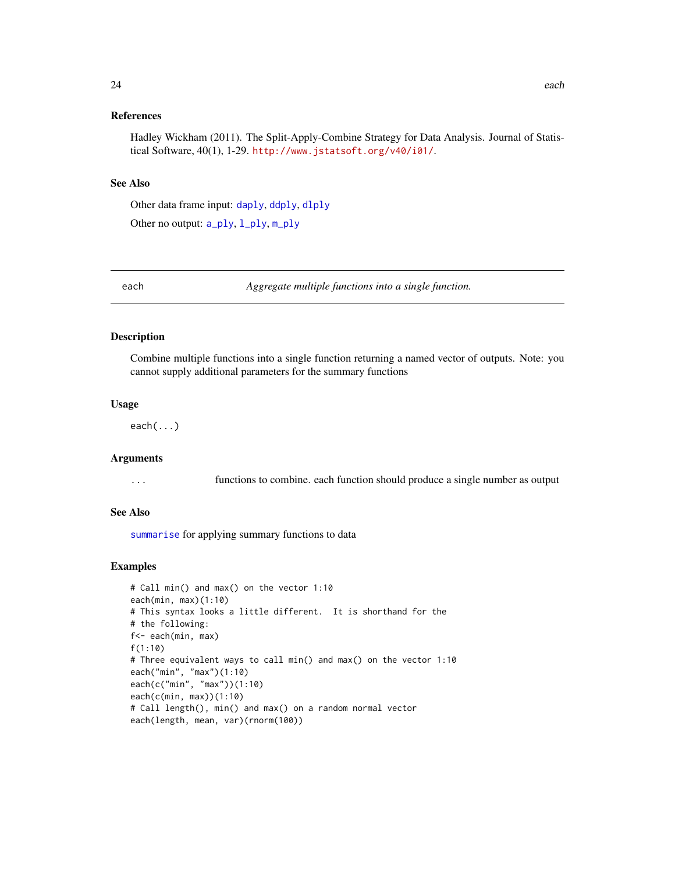#### <span id="page-23-0"></span>References

Hadley Wickham (2011). The Split-Apply-Combine Strategy for Data Analysis. Journal of Statistical Software, 40(1), 1-29. <http://www.jstatsoft.org/v40/i01/>.

#### See Also

Other data frame input: [daply](#page-16-1), [ddply](#page-17-1), [dlply](#page-20-1)

Other no output: [a\\_ply](#page-10-1), [l\\_ply](#page-32-1), [m\\_ply](#page-41-1)

each *Aggregate multiple functions into a single function.*

#### Description

Combine multiple functions into a single function returning a named vector of outputs. Note: you cannot supply additional parameters for the summary functions

#### Usage

each(...)

#### Arguments

... functions to combine. each function should produce a single number as output

#### See Also

[summarise](#page-57-1) for applying summary functions to data

```
# Call min() and max() on the vector 1:10
each(min, max)(1:10)
# This syntax looks a little different. It is shorthand for the
# the following:
f<- each(min, max)
f(1:10)
# Three equivalent ways to call min() and max() on the vector 1:10
each("min", "max")(1:10)
each(c("min", "max"))(1:10)
each(c(min, max))(1:10)
# Call length(), min() and max() on a random normal vector
each(length, mean, var)(rnorm(100))
```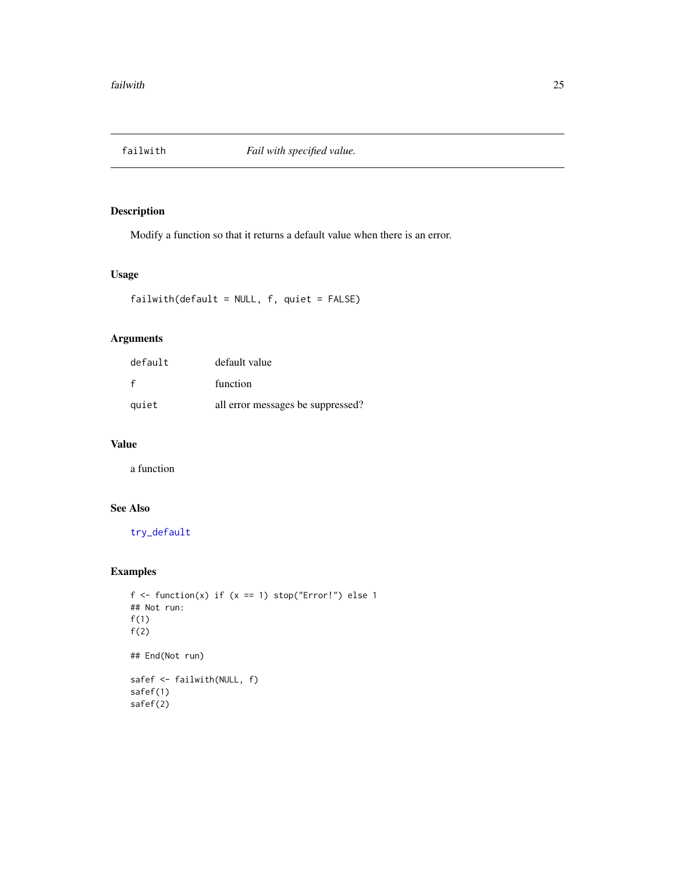<span id="page-24-0"></span>

Modify a function so that it returns a default value when there is an error.

#### Usage

```
failwith(default = NULL, f, quiet = FALSE)
```
# Arguments

| default | default value                     |
|---------|-----------------------------------|
| f       | function                          |
| quiet   | all error messages be suppressed? |

# Value

a function

# See Also

[try\\_default](#page-0-0)

```
f \leftarrow function(x) if (x == 1) stop("Error!") else 1
## Not run:
f(1)f(2)
## End(Not run)
safef <- failwith(NULL, f)
safef(1)
safef(2)
```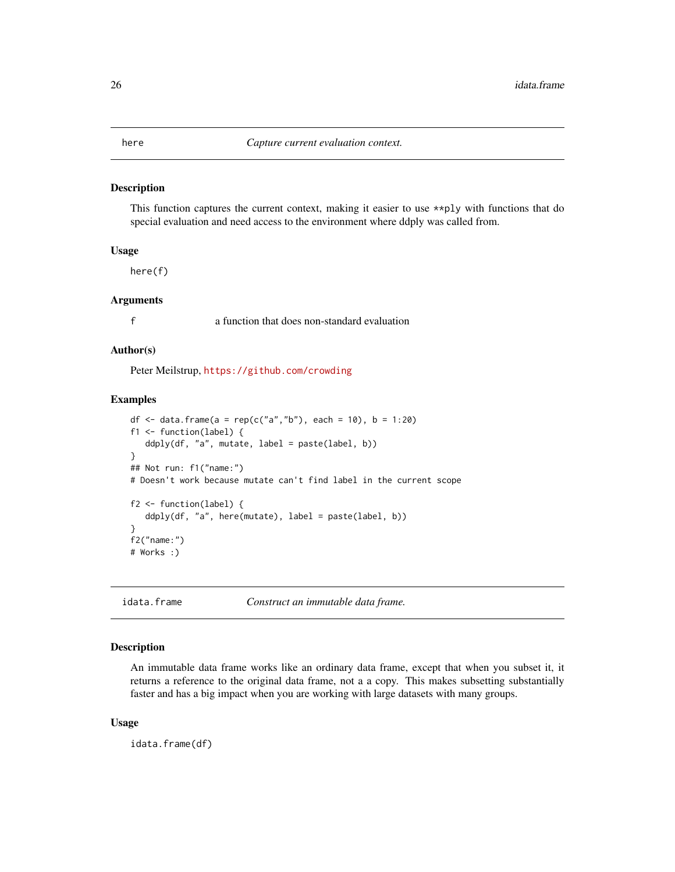<span id="page-25-0"></span>

This function captures the current context, making it easier to use \*\*ply with functions that do special evaluation and need access to the environment where ddply was called from.

#### Usage

here(f)

#### Arguments

f a function that does non-standard evaluation

#### Author(s)

Peter Meilstrup, <https://github.com/crowding>

# Examples

```
df <- data.frame(a = rep(c("a","b"), each = 10), b = 1:20)
f1 <- function(label) {
  ddply(df, "a", mutate, label = paste(label, b))
}
## Not run: f1("name:")
# Doesn't work because mutate can't find label in the current scope
f2 <- function(label) {
   ddply(df, "a", here(mutate), label = paste(label, b))
}
f2("name:")
# Works :)
```
idata.frame *Construct an immutable data frame.*

# Description

An immutable data frame works like an ordinary data frame, except that when you subset it, it returns a reference to the original data frame, not a a copy. This makes subsetting substantially faster and has a big impact when you are working with large datasets with many groups.

#### Usage

idata.frame(df)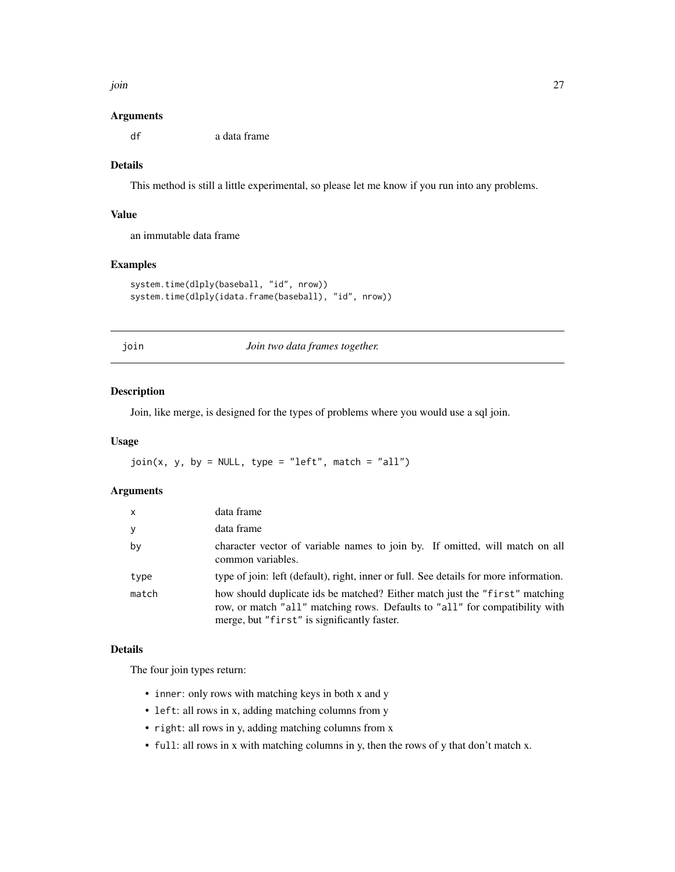<span id="page-26-0"></span>join 27

#### Arguments

df a data frame

# Details

This method is still a little experimental, so please let me know if you run into any problems.

#### Value

an immutable data frame

# Examples

```
system.time(dlply(baseball, "id", nrow))
system.time(dlply(idata.frame(baseball), "id", nrow))
```
<span id="page-26-1"></span>

join *Join two data frames together.*

#### Description

Join, like merge, is designed for the types of problems where you would use a sql join.

# Usage

 $join(x, y, by = NULL, type = "left", match = "all")$ 

# Arguments

| $\mathsf{x}$ | data frame                                                                                                                                                                                                |
|--------------|-----------------------------------------------------------------------------------------------------------------------------------------------------------------------------------------------------------|
| y            | data frame                                                                                                                                                                                                |
| by           | character vector of variable names to join by. If omitted, will match on all<br>common variables.                                                                                                         |
| type         | type of join: left (default), right, inner or full. See details for more information.                                                                                                                     |
| match        | how should duplicate ids be matched? Either match just the "first" matching<br>row, or match "all" matching rows. Defaults to "all" for compatibility with<br>merge, but "first" is significantly faster. |

# Details

The four join types return:

- inner: only rows with matching keys in both x and y
- left: all rows in x, adding matching columns from y
- right: all rows in y, adding matching columns from x
- full: all rows in x with matching columns in y, then the rows of y that don't match x.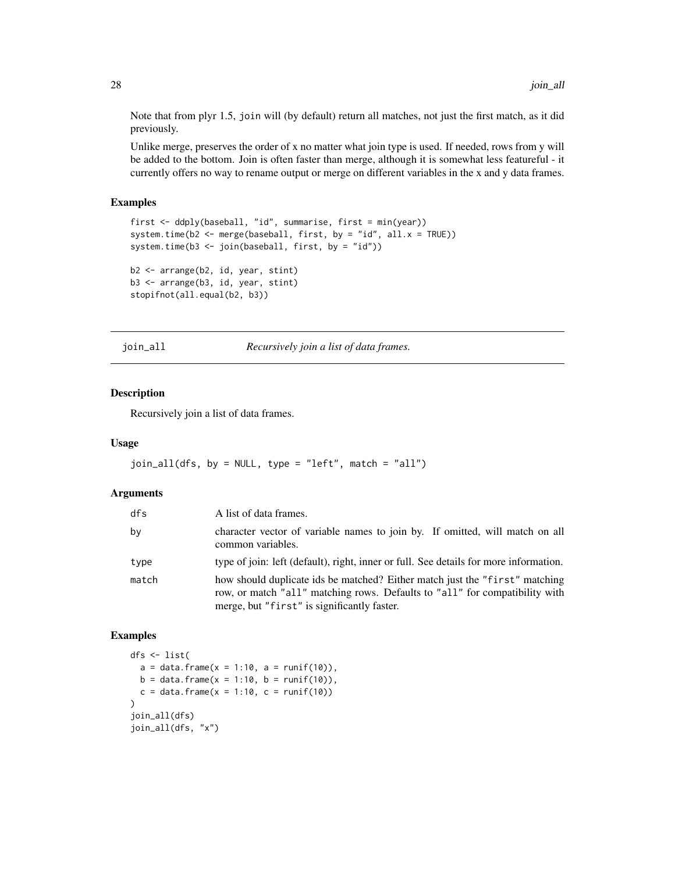Note that from plyr 1.5, join will (by default) return all matches, not just the first match, as it did previously.

Unlike merge, preserves the order of x no matter what join type is used. If needed, rows from y will be added to the bottom. Join is often faster than merge, although it is somewhat less featureful - it currently offers no way to rename output or merge on different variables in the x and y data frames.

# Examples

```
first <- ddply(baseball, "id", summarise, first = min(year))
system.time(b2 <- merge(baseball, first, by = "id", all.x = TRUE))
system.time(b3 <- join(baseball, first, by = "id"))
b2 <- arrange(b2, id, year, stint)
b3 <- arrange(b3, id, year, stint)
stopifnot(all.equal(b2, b3))
```
join\_all *Recursively join a list of data frames.*

#### Description

Recursively join a list of data frames.

#### Usage

```
join_all(dfs, by = NULL, type = "left", match = "all")
```
#### Arguments

| dfs   | A list of data frames.                                                                                                                                                                                    |
|-------|-----------------------------------------------------------------------------------------------------------------------------------------------------------------------------------------------------------|
| bv    | character vector of variable names to join by. If omitted, will match on all<br>common variables.                                                                                                         |
| type  | type of join: left (default), right, inner or full. See details for more information.                                                                                                                     |
| match | how should duplicate ids be matched? Either match just the "first" matching<br>row, or match "all" matching rows. Defaults to "all" for compatibility with<br>merge, but "first" is significantly faster. |

```
dfs <- list(
  a = data frame(x = 1:10, a = runif(10)),b = data. frame(x = 1:10, b = runif(10)),
  c = data. frame(x = 1:10, c = runif(10))
)
join_all(dfs)
join_all(dfs, "x")
```
<span id="page-27-0"></span>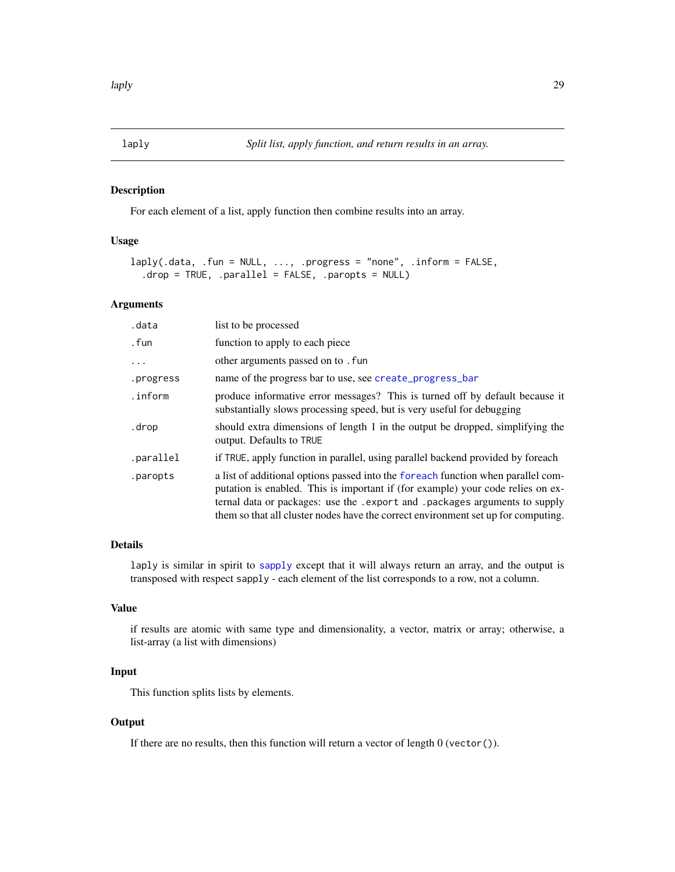<span id="page-28-1"></span><span id="page-28-0"></span>For each element of a list, apply function then combine results into an array.

# Usage

```
laply(.data, .fun = NULL, ..., .progress = "none", .inform = FALSE,
  .drop = TRUE, .parallel = FALSE, .paropts = NULL)
```
#### Arguments

| .data     | list to be processed                                                                                                                                                                                                                                                                                                                     |
|-----------|------------------------------------------------------------------------------------------------------------------------------------------------------------------------------------------------------------------------------------------------------------------------------------------------------------------------------------------|
| .fun      | function to apply to each piece                                                                                                                                                                                                                                                                                                          |
| $\ddots$  | other arguments passed on to . fun                                                                                                                                                                                                                                                                                                       |
| .progress | name of the progress bar to use, see create_progress_bar                                                                                                                                                                                                                                                                                 |
| .inform   | produce informative error messages? This is turned off by default because it<br>substantially slows processing speed, but is very useful for debugging                                                                                                                                                                                   |
| .drop     | should extra dimensions of length 1 in the output be dropped, simplifying the<br>output. Defaults to TRUE                                                                                                                                                                                                                                |
| .parallel | if TRUE, apply function in parallel, using parallel backend provided by foreach                                                                                                                                                                                                                                                          |
| .paropts  | a list of additional options passed into the foreach function when parallel com-<br>putation is enabled. This is important if (for example) your code relies on ex-<br>ternal data or packages: use the . export and . packages arguments to supply<br>them so that all cluster nodes have the correct environment set up for computing. |

# Details

laply is similar in spirit to [sapply](#page-0-0) except that it will always return an array, and the output is transposed with respect sapply - each element of the list corresponds to a row, not a column.

# Value

if results are atomic with same type and dimensionality, a vector, matrix or array; otherwise, a list-array (a list with dimensions)

# Input

This function splits lists by elements.

# **Output**

If there are no results, then this function will return a vector of length 0 (vector()).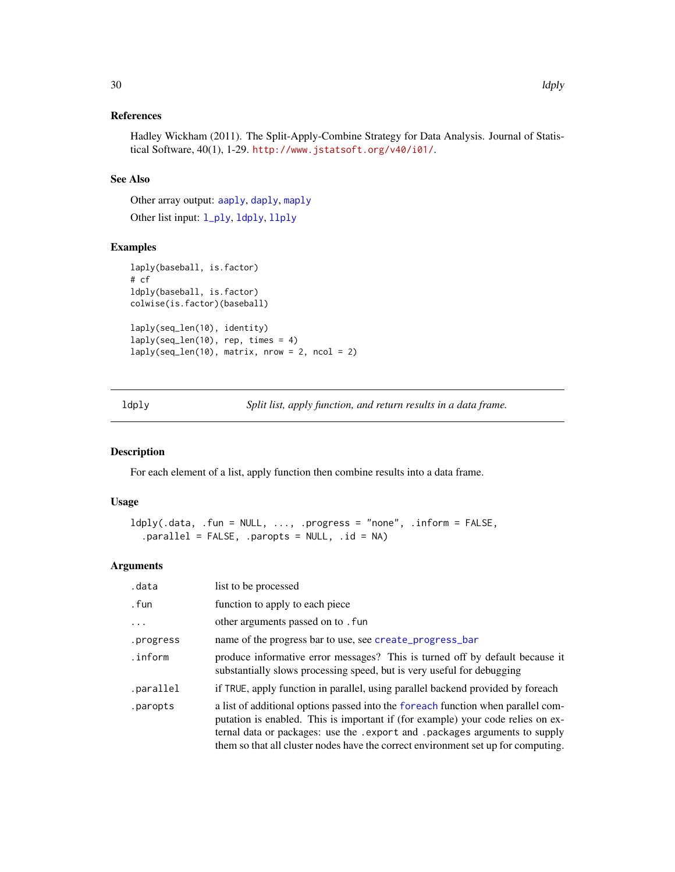# <span id="page-29-0"></span>References

Hadley Wickham (2011). The Split-Apply-Combine Strategy for Data Analysis. Journal of Statistical Software, 40(1), 1-29. <http://www.jstatsoft.org/v40/i01/>.

# See Also

Other array output: [aaply](#page-3-1), [daply](#page-16-1), [maply](#page-33-1) Other list input: [l\\_ply](#page-32-1), [ldply](#page-29-1), [llply](#page-31-1)

# Examples

```
laply(baseball, is.factor)
# cf
ldply(baseball, is.factor)
colwise(is.factor)(baseball)
laply(seq_len(10), identity)
laply(seq_len(10), rep, times = 4)
laply(seq_length(10), matrix, nrow = 2, ncol = 2)
```
<span id="page-29-1"></span>ldply *Split list, apply function, and return results in a data frame.*

# Description

For each element of a list, apply function then combine results into a data frame.

# Usage

```
ldy(.data, .fun = NULL, ..., .progress = "none", .inform = FALSE,.parallel = FALSE, .paropts = NULL, .id = NA)
```
# Arguments

| .data     | list to be processed                                                                                                                                                                                                                                                                                                                     |
|-----------|------------------------------------------------------------------------------------------------------------------------------------------------------------------------------------------------------------------------------------------------------------------------------------------------------------------------------------------|
| . fun     | function to apply to each piece                                                                                                                                                                                                                                                                                                          |
| $\cdots$  | other arguments passed on to . fun                                                                                                                                                                                                                                                                                                       |
| .progress | name of the progress bar to use, see create_progress_bar                                                                                                                                                                                                                                                                                 |
| .inform   | produce informative error messages? This is turned off by default because it<br>substantially slows processing speed, but is very useful for debugging                                                                                                                                                                                   |
| .parallel | if TRUE, apply function in parallel, using parallel backend provided by foreach                                                                                                                                                                                                                                                          |
| .paropts  | a list of additional options passed into the foreach function when parallel com-<br>putation is enabled. This is important if (for example) your code relies on ex-<br>ternal data or packages: use the . export and . packages arguments to supply<br>them so that all cluster nodes have the correct environment set up for computing. |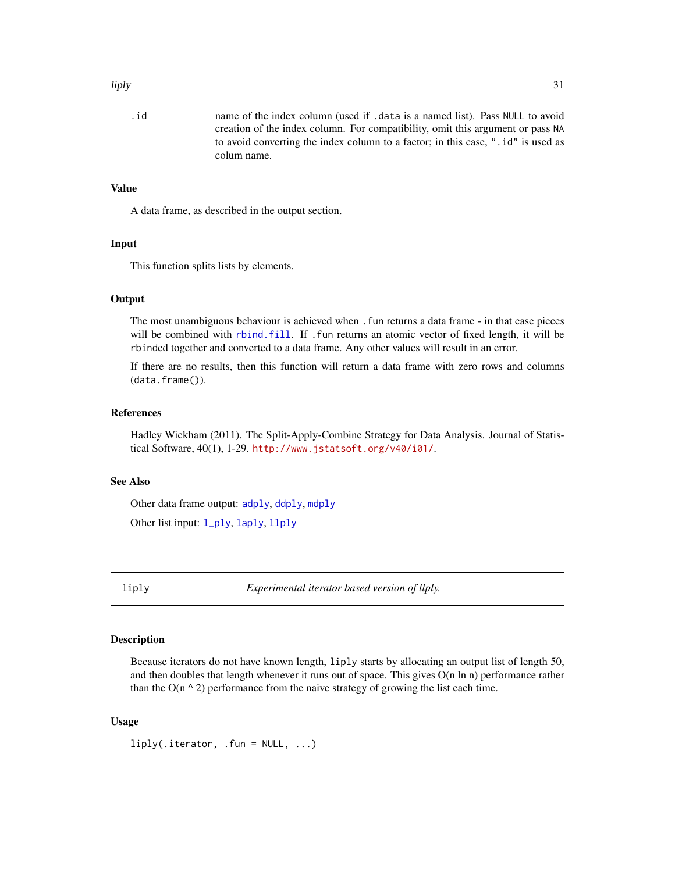#### <span id="page-30-0"></span>liply 31

.id name of the index column (used if .data is a named list). Pass NULL to avoid creation of the index column. For compatibility, omit this argument or pass NA to avoid converting the index column to a factor; in this case, ".id" is used as colum name.

# Value

A data frame, as described in the output section.

#### Input

This function splits lists by elements.

#### **Output**

The most unambiguous behaviour is achieved when .fun returns a data frame - in that case pieces will be combined with [rbind.fill](#page-49-1). If .fun returns an atomic vector of fixed length, it will be rbinded together and converted to a data frame. Any other values will result in an error.

If there are no results, then this function will return a data frame with zero rows and columns (data.frame()).

# References

Hadley Wickham (2011). The Split-Apply-Combine Strategy for Data Analysis. Journal of Statistical Software, 40(1), 1-29. <http://www.jstatsoft.org/v40/i01/>.

#### See Also

Other data frame output: [adply](#page-5-1), [ddply](#page-17-1), [mdply](#page-37-1)

Other list input: [l\\_ply](#page-32-1), [laply](#page-28-1), [llply](#page-31-1)

<span id="page-30-1"></span>liply *Experimental iterator based version of llply.*

#### Description

Because iterators do not have known length, liply starts by allocating an output list of length 50, and then doubles that length whenever it runs out of space. This gives  $O(n \ln n)$  performance rather than the  $O(n \wedge 2)$  performance from the naive strategy of growing the list each time.

#### Usage

```
liply(.iterator, .fun = NULL, ...)
```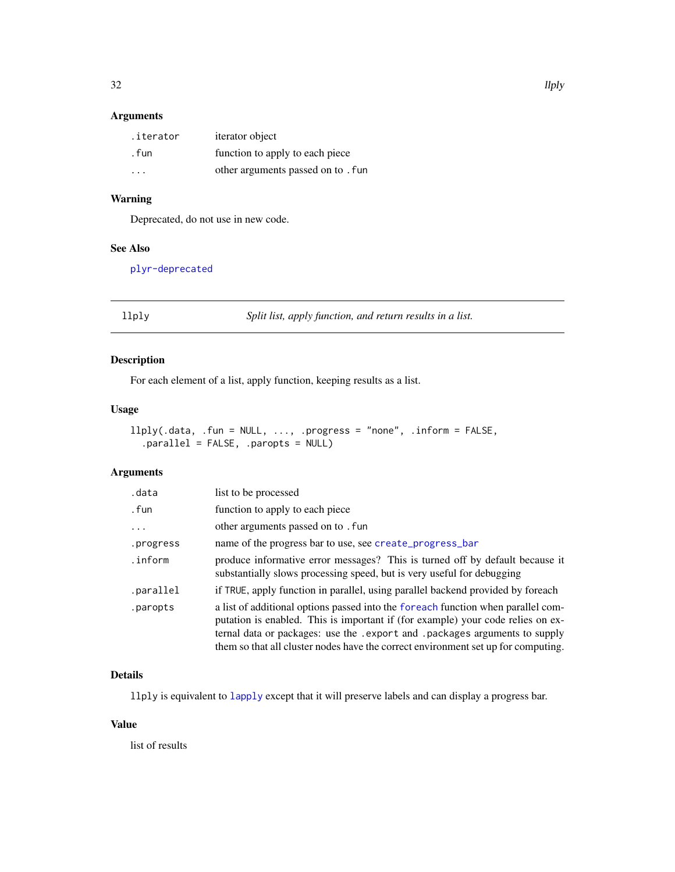# <span id="page-31-0"></span>Arguments

| .iterator | iterator object                    |
|-----------|------------------------------------|
| . fun     | function to apply to each piece    |
| .         | other arguments passed on to . fun |

# Warning

Deprecated, do not use in new code.

# See Also

[plyr-deprecated](#page-45-2)

<span id="page-31-1"></span>llply *Split list, apply function, and return results in a list.*

# Description

For each element of a list, apply function, keeping results as a list.

# Usage

```
llply(.data, .fun = NULL, ..., .progress = "none", .inform = FALSE,
  .parallel = FALSE, .paropts = NULL)
```
# Arguments

| .data     | list to be processed                                                                                                                                                                                                                                                                                                                     |
|-----------|------------------------------------------------------------------------------------------------------------------------------------------------------------------------------------------------------------------------------------------------------------------------------------------------------------------------------------------|
| . fun     | function to apply to each piece                                                                                                                                                                                                                                                                                                          |
| .         | other arguments passed on to . fun                                                                                                                                                                                                                                                                                                       |
| .progress | name of the progress bar to use, see create_progress_bar                                                                                                                                                                                                                                                                                 |
| .inform   | produce informative error messages? This is turned off by default because it<br>substantially slows processing speed, but is very useful for debugging                                                                                                                                                                                   |
| .parallel | if TRUE, apply function in parallel, using parallel backend provided by foreach                                                                                                                                                                                                                                                          |
| .paropts  | a list of additional options passed into the foreach function when parallel com-<br>putation is enabled. This is important if (for example) your code relies on ex-<br>ternal data or packages: use the . export and . packages arguments to supply<br>them so that all cluster nodes have the correct environment set up for computing. |

# Details

llply is equivalent to [lapply](#page-0-0) except that it will preserve labels and can display a progress bar.

# Value

list of results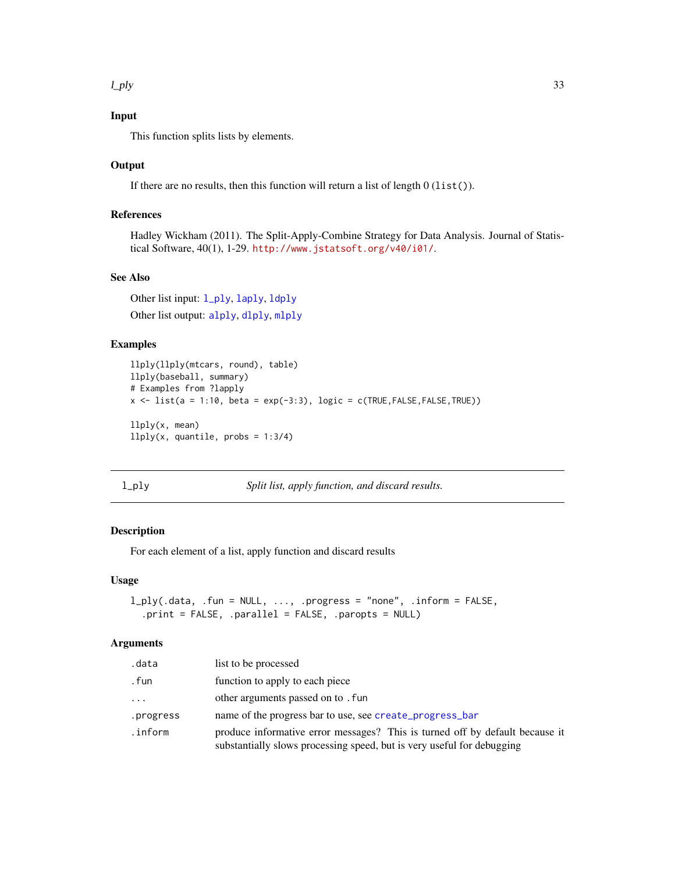#### <span id="page-32-0"></span> $l$ \_ply  $\qquad \qquad$  33

# Input

This function splits lists by elements.

#### **Output**

If there are no results, then this function will return a list of length  $0$  (list()).

# References

Hadley Wickham (2011). The Split-Apply-Combine Strategy for Data Analysis. Journal of Statistical Software, 40(1), 1-29. <http://www.jstatsoft.org/v40/i01/>.

# See Also

Other list input:  $1$ <sub>-ply</sub>, [laply](#page-28-1), [ldply](#page-29-1) Other list output: [alply](#page-6-1), [dlply](#page-20-1), [mlply](#page-38-1)

# Examples

```
llply(llply(mtcars, round), table)
llply(baseball, summary)
# Examples from ?lapply
x \le - list(a = 1:10, beta = exp(-3:3), logic = c(TRUE, FALSE, FALSE, TRUE))
llply(x, mean)
llply(x, quantile, probs = 1:3/4)
```
<span id="page-32-1"></span>

Split list, apply function, and discard results.

#### Description

For each element of a list, apply function and discard results

#### Usage

```
l_ply(.data, .fun = NULL, ..., .progress = "none", .inform = FALSE,
  .print = FALSE, .parallel = FALSE, .paropts = NULL)
```
# Arguments

| .data     | list to be processed                                                                                                                                   |
|-----------|--------------------------------------------------------------------------------------------------------------------------------------------------------|
| . fun     | function to apply to each piece                                                                                                                        |
| .         | other arguments passed on to . fun                                                                                                                     |
| .progress | name of the progress bar to use, see create_progress_bar                                                                                               |
| .inform   | produce informative error messages? This is turned off by default because it<br>substantially slows processing speed, but is very useful for debugging |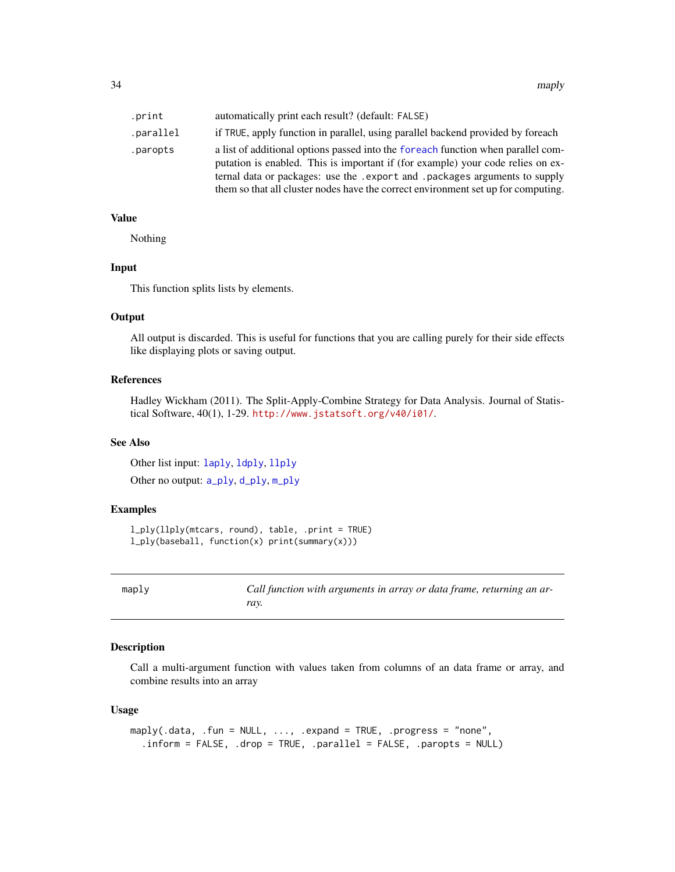<span id="page-33-0"></span>

| .print    | automatically print each result? (default: FALSE)                                                                                                                                                                                                                                                                                        |
|-----------|------------------------------------------------------------------------------------------------------------------------------------------------------------------------------------------------------------------------------------------------------------------------------------------------------------------------------------------|
| .parallel | if TRUE, apply function in parallel, using parallel backend provided by foreach                                                                                                                                                                                                                                                          |
| .paropts  | a list of additional options passed into the foreach function when parallel com-<br>putation is enabled. This is important if (for example) your code relies on ex-<br>ternal data or packages: use the . export and . packages arguments to supply<br>them so that all cluster nodes have the correct environment set up for computing. |

# Value

Nothing

# Input

This function splits lists by elements.

#### Output

All output is discarded. This is useful for functions that you are calling purely for their side effects like displaying plots or saving output.

# References

Hadley Wickham (2011). The Split-Apply-Combine Strategy for Data Analysis. Journal of Statistical Software, 40(1), 1-29. <http://www.jstatsoft.org/v40/i01/>.

# See Also

Other list input: [laply](#page-28-1), [ldply](#page-29-1), [llply](#page-31-1)

Other no output: [a\\_ply](#page-10-1), [d\\_ply](#page-22-1), [m\\_ply](#page-41-1)

# Examples

```
l_ply(llply(mtcars, round), table, .print = TRUE)
l_ply(baseball, function(x) print(summary(x)))
```
<span id="page-33-1"></span>

maply *Call function with arguments in array or data frame, returning an array.*

# Description

Call a multi-argument function with values taken from columns of an data frame or array, and combine results into an array

#### Usage

```
maply(.data, .fun = NULL, ..., .expand = TRUE, .progress = "none",
  .inform = FALSE, .drop = TRUE, .parallel = FALSE, .paropts = NULL)
```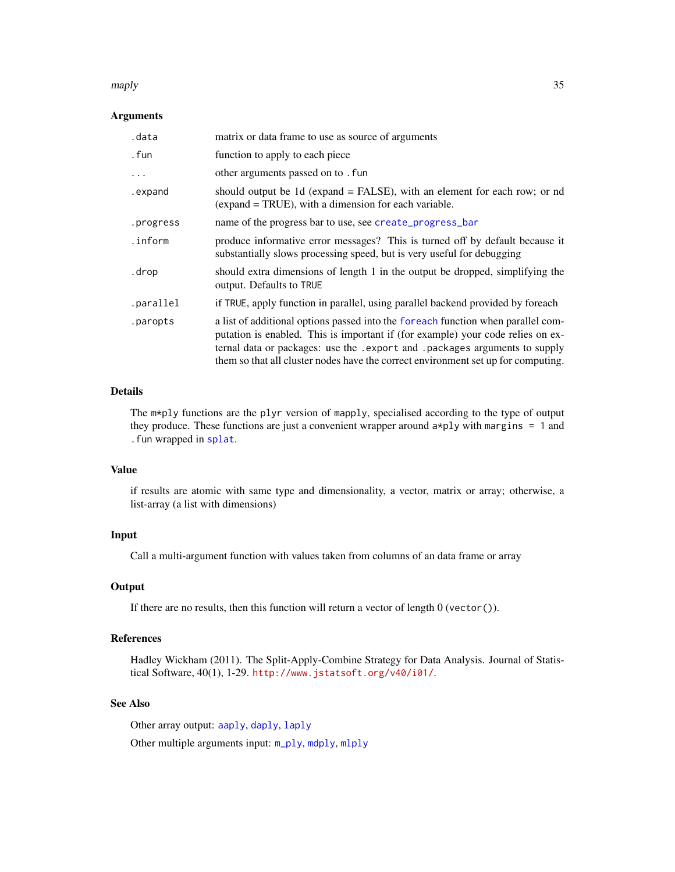#### <span id="page-34-0"></span>maply 35

#### Arguments

| .data     | matrix or data frame to use as source of arguments                                                                                                                                                                                                                                                                                       |
|-----------|------------------------------------------------------------------------------------------------------------------------------------------------------------------------------------------------------------------------------------------------------------------------------------------------------------------------------------------|
| . fun     | function to apply to each piece                                                                                                                                                                                                                                                                                                          |
| .         | other arguments passed on to . fun                                                                                                                                                                                                                                                                                                       |
| .expand   | should output be 1d (expand = FALSE), with an element for each row; or nd<br>(expand = TRUE), with a dimension for each variable.                                                                                                                                                                                                        |
| .progress | name of the progress bar to use, see create_progress_bar                                                                                                                                                                                                                                                                                 |
| .inform   | produce informative error messages? This is turned off by default because it<br>substantially slows processing speed, but is very useful for debugging                                                                                                                                                                                   |
| .drop     | should extra dimensions of length 1 in the output be dropped, simplifying the<br>output. Defaults to TRUE                                                                                                                                                                                                                                |
| .parallel | if TRUE, apply function in parallel, using parallel backend provided by foreach                                                                                                                                                                                                                                                          |
| .paropts  | a list of additional options passed into the foreach function when parallel com-<br>putation is enabled. This is important if (for example) your code relies on ex-<br>ternal data or packages: use the . export and . packages arguments to supply<br>them so that all cluster nodes have the correct environment set up for computing. |

#### Details

The m\*ply functions are the plyr version of mapply, specialised according to the type of output they produce. These functions are just a convenient wrapper around a\*ply with margins = 1 and .fun wrapped in [splat](#page-55-1).

# Value

if results are atomic with same type and dimensionality, a vector, matrix or array; otherwise, a list-array (a list with dimensions)

# Input

Call a multi-argument function with values taken from columns of an data frame or array

# **Output**

If there are no results, then this function will return a vector of length  $0$  (vector()).

#### References

Hadley Wickham (2011). The Split-Apply-Combine Strategy for Data Analysis. Journal of Statistical Software, 40(1), 1-29. <http://www.jstatsoft.org/v40/i01/>.

# See Also

Other array output: [aaply](#page-3-1), [daply](#page-16-1), [laply](#page-28-1)

Other multiple arguments input: [m\\_ply](#page-41-1), [mdply](#page-37-1), [mlply](#page-38-1)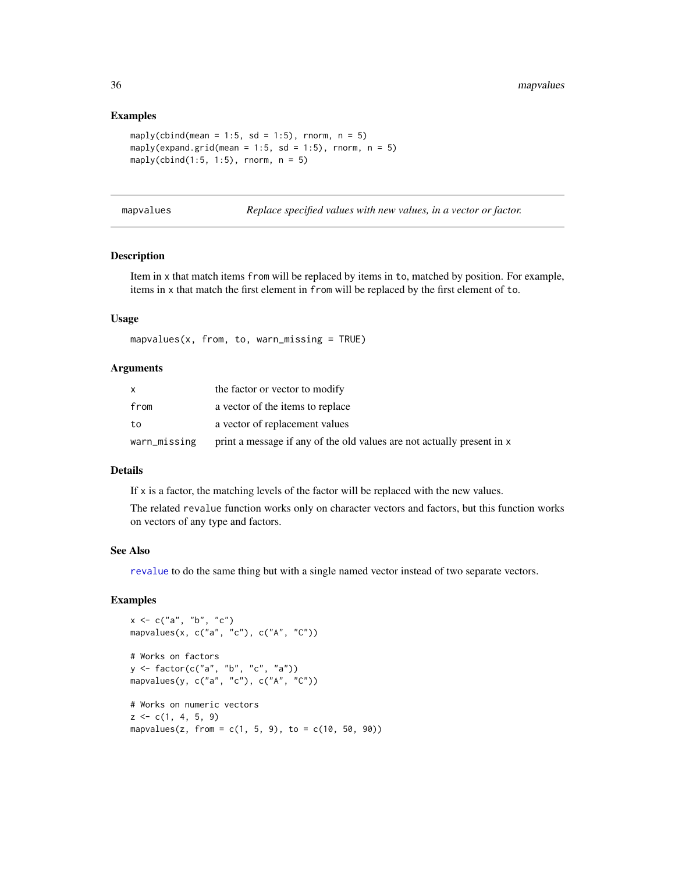# Examples

```
maply(cbind(mean = 1:5, sd = 1:5), rnorm, n = 5)
maply(expand.grid(mean = 1:5, sd = 1:5), rnorm, n = 5)
maply(cbind(1:5, 1:5), rnorm, n = 5)
```
<span id="page-35-1"></span>

| mapvalues |  |  |
|-----------|--|--|
|           |  |  |

Replace specified values with new values, in a vector or factor.

#### Description

Item in x that match items from will be replaced by items in to, matched by position. For example, items in x that match the first element in from will be replaced by the first element of to.

#### Usage

```
mapvalues(x, from, to, warn\_missing = TRUE)
```
#### Arguments

| X            | the factor or vector to modify                                         |
|--------------|------------------------------------------------------------------------|
| from         | a vector of the items to replace                                       |
| to           | a vector of replacement values                                         |
| warn_missing | print a message if any of the old values are not actually present in x |

#### Details

If x is a factor, the matching levels of the factor will be replaced with the new values.

The related revalue function works only on character vectors and factors, but this function works on vectors of any type and factors.

# See Also

[revalue](#page-52-1) to do the same thing but with a single named vector instead of two separate vectors.

```
x \leq -c("a", "b", "c")mapvalues(x, c("a", "c"), c("A", "C"))
# Works on factors
y <- factor(c("a", "b", "c", "a"))
mapvalues(y, c("a", "c"), c("A", "C"))
# Works on numeric vectors
z \leq c(1, 4, 5, 9)mapvalues(z, from = c(1, 5, 9), to = c(10, 50, 90))
```
<span id="page-35-0"></span>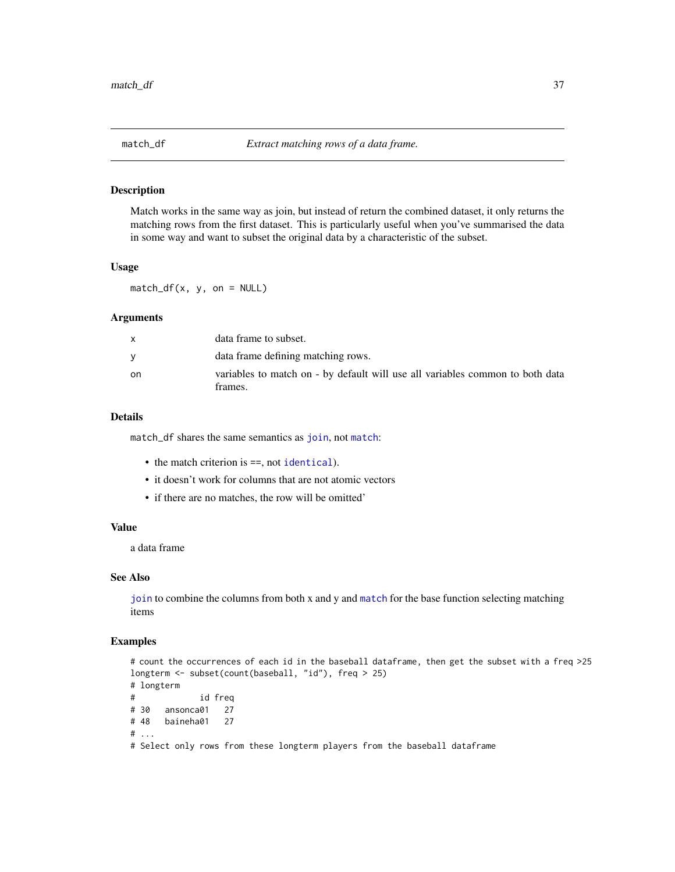<span id="page-36-1"></span><span id="page-36-0"></span>

Match works in the same way as join, but instead of return the combined dataset, it only returns the matching rows from the first dataset. This is particularly useful when you've summarised the data in some way and want to subset the original data by a characteristic of the subset.

# Usage

 $match_df(x, y, on = NULL)$ 

# Arguments

|    | data frame to subset.                                                                    |
|----|------------------------------------------------------------------------------------------|
|    | data frame defining matching rows.                                                       |
| on | variables to match on - by default will use all variables common to both data<br>frames. |

#### Details

match\_df shares the same semantics as [join](#page-26-1), not [match](#page-0-0):

- the match criterion is ==, not [identical](#page-0-0)).
- it doesn't work for columns that are not atomic vectors
- if there are no matches, the row will be omitted'

# Value

a data frame

#### See Also

[join](#page-26-1) to combine the columns from both x and y and [match](#page-0-0) for the base function selecting matching items

```
# count the occurrences of each id in the baseball dataframe, then get the subset with a freq >25
longterm <- subset(count(baseball, "id"), freq > 25)
# longterm
# id freq
# 30 ansonca01 27
# 48 baineha01 27
# ...
# Select only rows from these longterm players from the baseball dataframe
```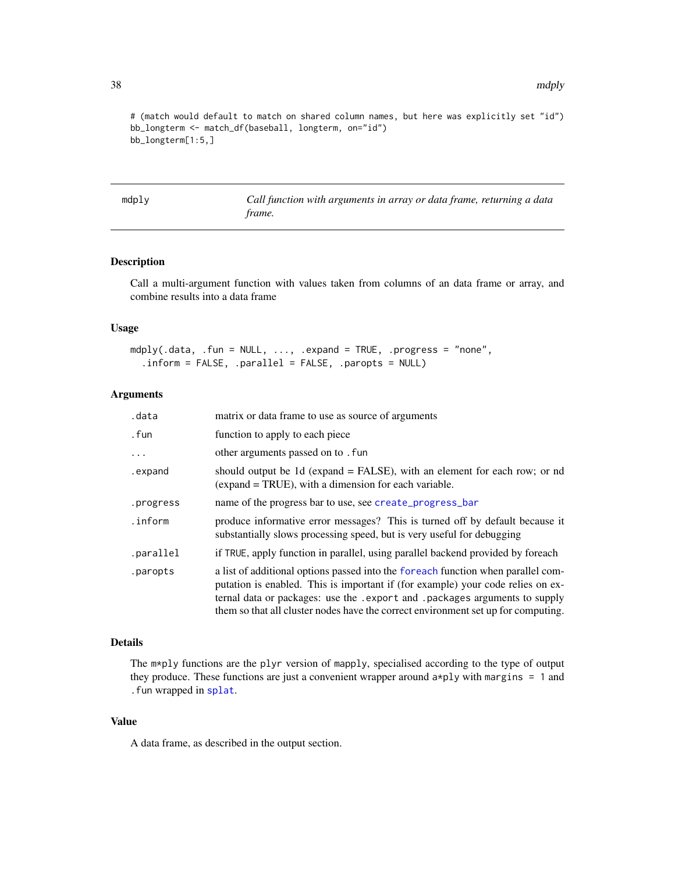# (match would default to match on shared column names, but here was explicitly set "id") bb\_longterm <- match\_df(baseball, longterm, on="id") bb\_longterm[1:5,]

<span id="page-37-1"></span>mdply *Call function with arguments in array or data frame, returning a data frame.*

#### Description

Call a multi-argument function with values taken from columns of an data frame or array, and combine results into a data frame

#### Usage

```
mdply(.data, .fun = NULL, ..., .expand = TRUE, .progress = "none",
  .inform = FALSE, .parallel = FALSE, .paropts = NULL)
```
#### Arguments

| .data     | matrix or data frame to use as source of arguments                                                                                                                                                                                                                                                                                       |
|-----------|------------------------------------------------------------------------------------------------------------------------------------------------------------------------------------------------------------------------------------------------------------------------------------------------------------------------------------------|
| . fun     | function to apply to each piece                                                                                                                                                                                                                                                                                                          |
| $\ddotsc$ | other arguments passed on to . fun                                                                                                                                                                                                                                                                                                       |
| .expand   | should output be 1d (expand = FALSE), with an element for each row; or nd<br>(expand = TRUE), with a dimension for each variable.                                                                                                                                                                                                        |
| .progress | name of the progress bar to use, see create_progress_bar                                                                                                                                                                                                                                                                                 |
| .inform   | produce informative error messages? This is turned off by default because it<br>substantially slows processing speed, but is very useful for debugging                                                                                                                                                                                   |
| .parallel | if TRUE, apply function in parallel, using parallel backend provided by foreach                                                                                                                                                                                                                                                          |
| .paropts  | a list of additional options passed into the foreach function when parallel com-<br>putation is enabled. This is important if (for example) your code relies on ex-<br>ternal data or packages: use the . export and . packages arguments to supply<br>them so that all cluster nodes have the correct environment set up for computing. |

#### Details

The m\*ply functions are the plyr version of mapply, specialised according to the type of output they produce. These functions are just a convenient wrapper around  $a * p$ ly with margins = 1 and .fun wrapped in [splat](#page-55-1).

# Value

A data frame, as described in the output section.

<span id="page-37-0"></span>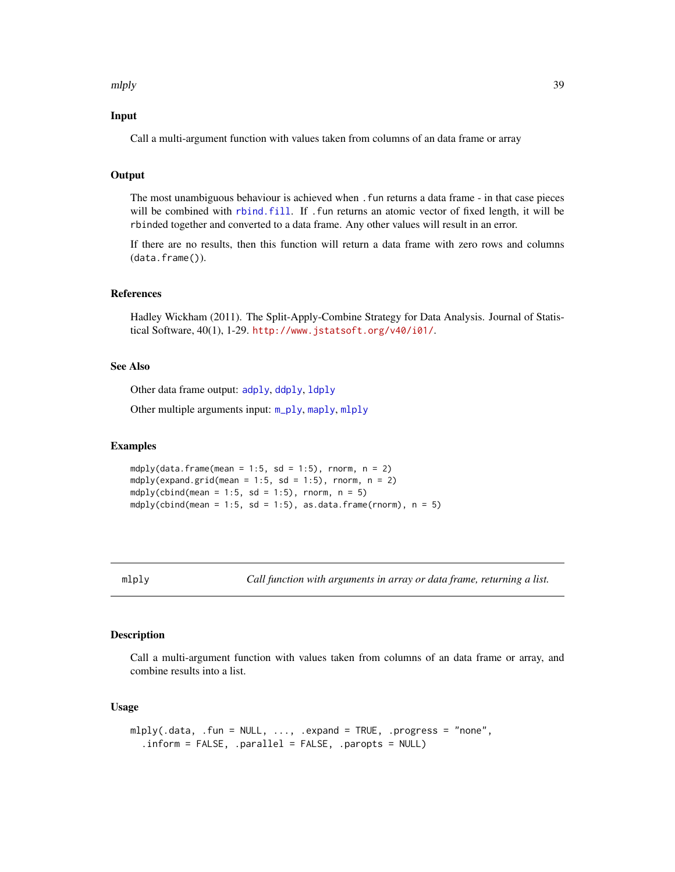#### <span id="page-38-0"></span>mlply 39

# Input

Call a multi-argument function with values taken from columns of an data frame or array

# **Output**

The most unambiguous behaviour is achieved when .fun returns a data frame - in that case pieces will be combined with [rbind.fill](#page-49-1). If .fun returns an atomic vector of fixed length, it will be rbinded together and converted to a data frame. Any other values will result in an error.

If there are no results, then this function will return a data frame with zero rows and columns (data.frame()).

#### References

Hadley Wickham (2011). The Split-Apply-Combine Strategy for Data Analysis. Journal of Statistical Software, 40(1), 1-29. <http://www.jstatsoft.org/v40/i01/>.

#### See Also

Other data frame output: [adply](#page-5-1), [ddply](#page-17-1), [ldply](#page-29-1)

Other multiple arguments input: [m\\_ply](#page-41-1), [maply](#page-33-1), [mlply](#page-38-1)

#### Examples

mdply(data.frame(mean = 1:5, sd = 1:5), rnorm,  $n = 2$ ) mdply(expand.grid(mean = 1:5, sd = 1:5), rnorm,  $n = 2$ ) mdply(cbind(mean =  $1:5$ , sd =  $1:5$ ), rnorm, n =  $5$ ) mdply(cbind(mean = 1:5, sd = 1:5), as.data.frame(rnorm),  $n = 5$ )

<span id="page-38-1"></span>mlply *Call function with arguments in array or data frame, returning a list.*

# Description

Call a multi-argument function with values taken from columns of an data frame or array, and combine results into a list.

#### Usage

```
mlply(.data, .fun = NULL, ..., .expand = TRUE, .progress = "none",.inform = FALSE, .parallel = FALSE, .paropts = NULL)
```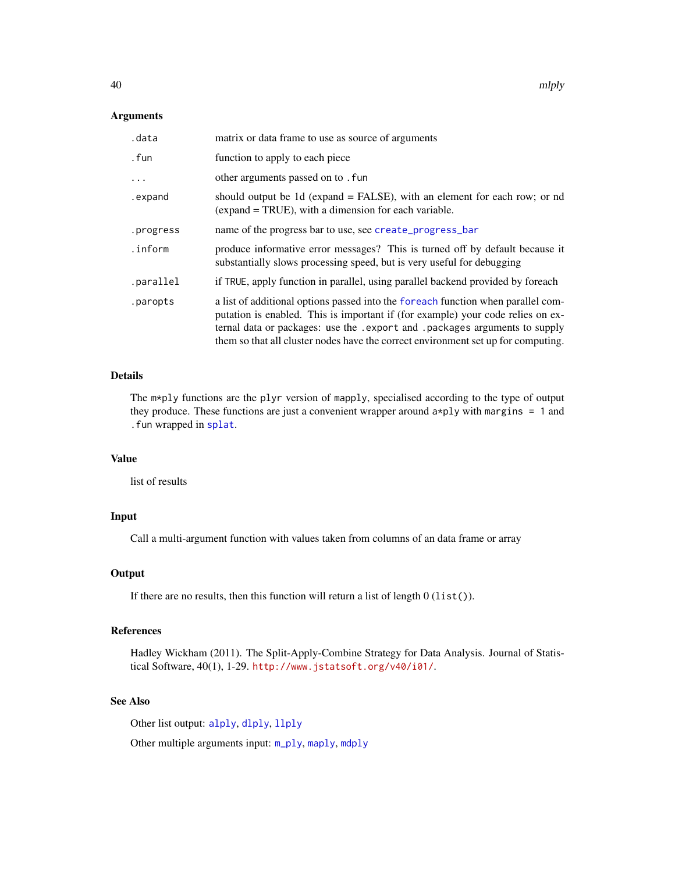#### <span id="page-39-0"></span>Arguments

| .data     | matrix or data frame to use as source of arguments                                                                                                                                                                                                                                                                                       |
|-----------|------------------------------------------------------------------------------------------------------------------------------------------------------------------------------------------------------------------------------------------------------------------------------------------------------------------------------------------|
| . fun     | function to apply to each piece                                                                                                                                                                                                                                                                                                          |
| $\cdots$  | other arguments passed on to . fun                                                                                                                                                                                                                                                                                                       |
| .expand   | should output be 1d (expand = FALSE), with an element for each row; or nd<br>(expand = TRUE), with a dimension for each variable.                                                                                                                                                                                                        |
| .progress | name of the progress bar to use, see create_progress_bar                                                                                                                                                                                                                                                                                 |
| .inform   | produce informative error messages? This is turned off by default because it<br>substantially slows processing speed, but is very useful for debugging                                                                                                                                                                                   |
| .parallel | if TRUE, apply function in parallel, using parallel backend provided by foreach                                                                                                                                                                                                                                                          |
| .paropts  | a list of additional options passed into the foreach function when parallel com-<br>putation is enabled. This is important if (for example) your code relies on ex-<br>ternal data or packages: use the . export and . packages arguments to supply<br>them so that all cluster nodes have the correct environment set up for computing. |

# Details

The m\*ply functions are the plyr version of mapply, specialised according to the type of output they produce. These functions are just a convenient wrapper around a\*ply with margins = 1 and .fun wrapped in [splat](#page-55-1).

#### Value

list of results

#### Input

Call a multi-argument function with values taken from columns of an data frame or array

#### **Output**

If there are no results, then this function will return a list of length  $0$  (list()).

# References

Hadley Wickham (2011). The Split-Apply-Combine Strategy for Data Analysis. Journal of Statistical Software, 40(1), 1-29. <http://www.jstatsoft.org/v40/i01/>.

# See Also

Other list output: [alply](#page-6-1), [dlply](#page-20-1), [llply](#page-31-1)

Other multiple arguments input: [m\\_ply](#page-41-1), [maply](#page-33-1), [mdply](#page-37-1)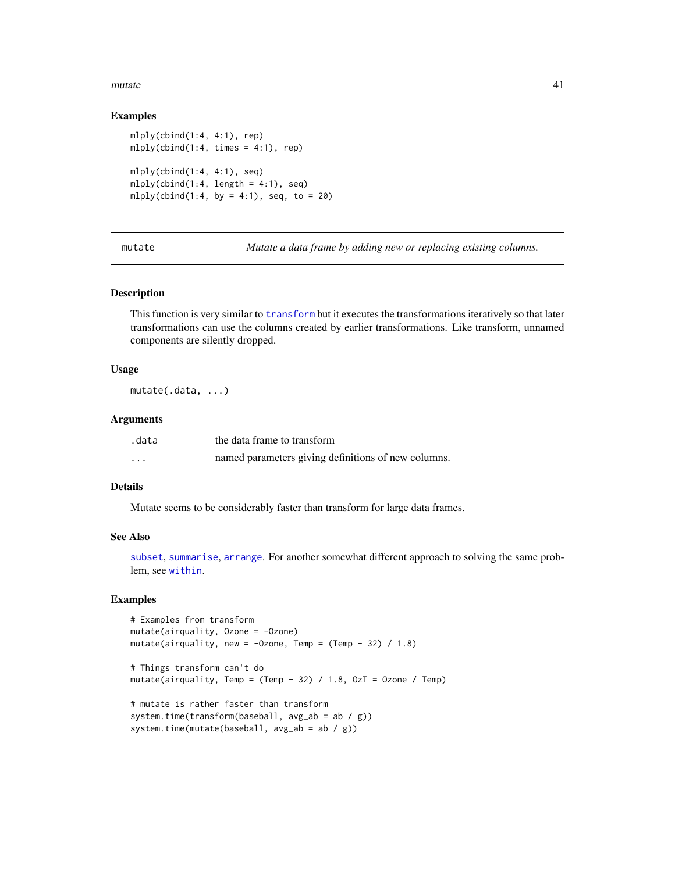#### <span id="page-40-0"></span>mutate 41

#### Examples

```
mlply(cbind(1:4, 4:1), rep)
mlply (cbind(1:4, times = 4:1), rep)mlply(cbind(1:4, 4:1), seq)mlply (cbind(1:4, length = 4:1), seq)mlply(cbind(1:4, by = 4:1), seq, to = 20)
```
<span id="page-40-1"></span>mutate *Mutate a data frame by adding new or replacing existing columns.*

#### Description

This function is very similar to [transform](#page-0-0) but it executes the transformations iteratively so that later transformations can use the columns created by earlier transformations. Like transform, unnamed components are silently dropped.

#### Usage

mutate(.data, ...)

#### Arguments

| .data    | the data frame to transform                         |
|----------|-----------------------------------------------------|
| $\cdots$ | named parameters giving definitions of new columns. |

# Details

Mutate seems to be considerably faster than transform for large data frames.

#### See Also

[subset](#page-0-0), [summarise](#page-57-1), [arrange](#page-8-1). For another somewhat different approach to solving the same problem, see [within](#page-0-0).

```
# Examples from transform
mutate(airquality, Ozone = -Ozone)
mutate(airquality, new = -0zone, Temp = (Temp - 32) / 1.8)
# Things transform can't do
mutate(airquality, Temp = (Temp - 32) / 1.8, OzT = Ozone / Temp)
# mutate is rather faster than transform
system.time(transform(baseball, avg_ab = ab / g))
system.time(mutate(baseball, avg_ab = ab / g))
```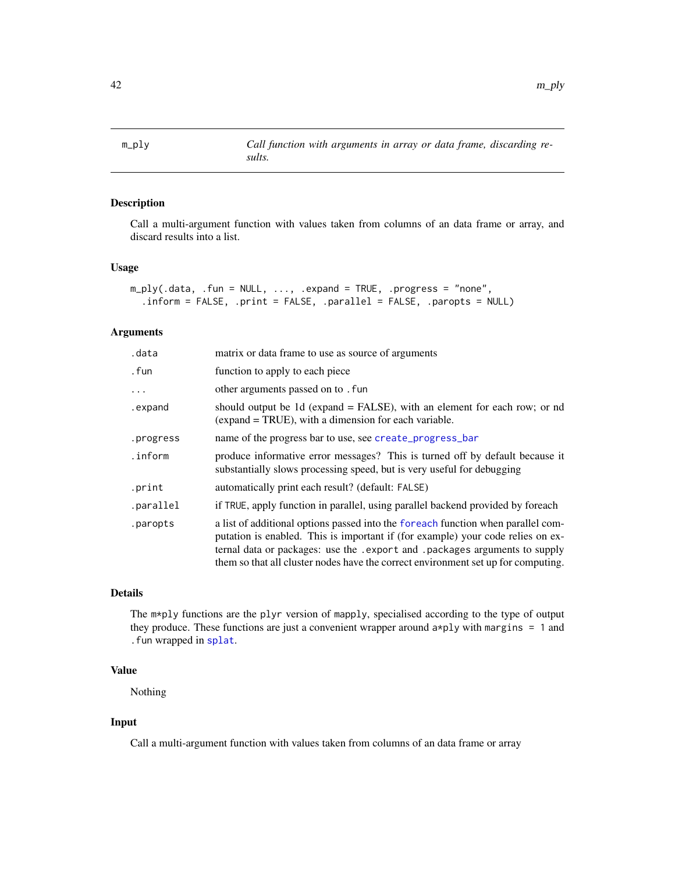<span id="page-41-1"></span><span id="page-41-0"></span>

Call a multi-argument function with values taken from columns of an data frame or array, and discard results into a list.

# Usage

```
m_ply(.data, .fun = NULL, ..., .expand = TRUE, .progress = "none",
  .inform = FALSE, .print = FALSE, .parallel = FALSE, .paropts = NULL)
```
#### Arguments

| .data     | matrix or data frame to use as source of arguments                                                                                                                                                                                                                                                                                       |
|-----------|------------------------------------------------------------------------------------------------------------------------------------------------------------------------------------------------------------------------------------------------------------------------------------------------------------------------------------------|
| . fun     | function to apply to each piece                                                                                                                                                                                                                                                                                                          |
| $\ddotsc$ | other arguments passed on to . fun                                                                                                                                                                                                                                                                                                       |
| .expand   | should output be 1d (expand = FALSE), with an element for each row; or nd<br>(expand = TRUE), with a dimension for each variable.                                                                                                                                                                                                        |
| .progress | name of the progress bar to use, see create_progress_bar                                                                                                                                                                                                                                                                                 |
| .inform   | produce informative error messages? This is turned off by default because it<br>substantially slows processing speed, but is very useful for debugging                                                                                                                                                                                   |
| .print    | automatically print each result? (default: FALSE)                                                                                                                                                                                                                                                                                        |
| .parallel | if TRUE, apply function in parallel, using parallel backend provided by foreach                                                                                                                                                                                                                                                          |
| .paropts  | a list of additional options passed into the foreach function when parallel com-<br>putation is enabled. This is important if (for example) your code relies on ex-<br>ternal data or packages: use the . export and . packages arguments to supply<br>them so that all cluster nodes have the correct environment set up for computing. |

# Details

The m\*ply functions are the plyr version of mapply, specialised according to the type of output they produce. These functions are just a convenient wrapper around  $a * p$ ly with margins = 1 and .fun wrapped in [splat](#page-55-1).

# Value

Nothing

# Input

Call a multi-argument function with values taken from columns of an data frame or array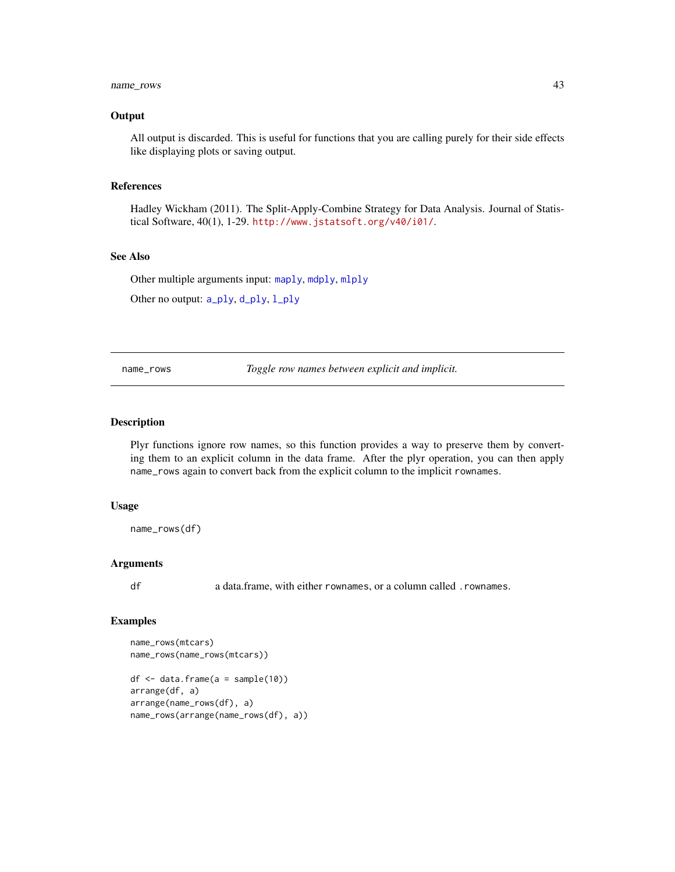# <span id="page-42-0"></span>name\_rows 43

#### **Output**

All output is discarded. This is useful for functions that you are calling purely for their side effects like displaying plots or saving output.

#### References

Hadley Wickham (2011). The Split-Apply-Combine Strategy for Data Analysis. Journal of Statistical Software, 40(1), 1-29. <http://www.jstatsoft.org/v40/i01/>.

#### See Also

Other multiple arguments input: [maply](#page-33-1), [mdply](#page-37-1), [mlply](#page-38-1)

Other no output: [a\\_ply](#page-10-1), [d\\_ply](#page-22-1), [l\\_ply](#page-32-1)

<span id="page-42-1"></span>name\_rows *Toggle row names between explicit and implicit.*

# Description

Plyr functions ignore row names, so this function provides a way to preserve them by converting them to an explicit column in the data frame. After the plyr operation, you can then apply name\_rows again to convert back from the explicit column to the implicit rownames.

#### Usage

name\_rows(df)

#### Arguments

df a data.frame, with either rownames, or a column called .rownames.

```
name_rows(mtcars)
name_rows(name_rows(mtcars))
df <- data.frame(a = sample(10))
arrange(df, a)
arrange(name_rows(df), a)
name_rows(arrange(name_rows(df), a))
```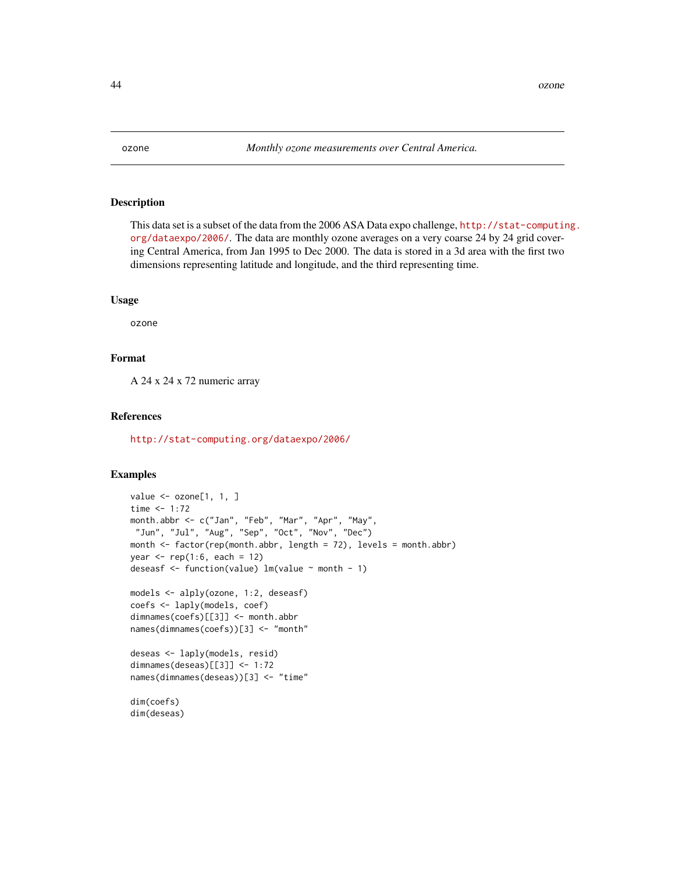<span id="page-43-0"></span>

This data set is a subset of the data from the 2006 ASA Data expo challenge, [http://stat-computin](http://stat-computing.org/dataexpo/2006/)g. [org/dataexpo/2006/](http://stat-computing.org/dataexpo/2006/). The data are monthly ozone averages on a very coarse 24 by 24 grid covering Central America, from Jan 1995 to Dec 2000. The data is stored in a 3d area with the first two dimensions representing latitude and longitude, and the third representing time.

#### Usage

ozone

# Format

A 24 x 24 x 72 numeric array

#### References

<http://stat-computing.org/dataexpo/2006/>

```
value <- ozone[1, 1, ]
time <-1:72month.abbr <- c("Jan", "Feb", "Mar", "Apr", "May",
 "Jun", "Jul", "Aug", "Sep", "Oct", "Nov", "Dec")
month <- factor(rep(month.abbr, length = 72), levels = month.abbr)
year <- rep(1:6, each = 12)
deseasf <- function(value) lm(value ~ month - 1)
models <- alply(ozone, 1:2, deseasf)
coefs <- laply(models, coef)
dimnames(coefs)[[3]] <- month.abbr
names(dimnames(coefs))[3] <- "month"
deseas <- laply(models, resid)
dimnames(deseas)[[3]] <- 1:72
names(dimnames(deseas))[3] <- "time"
dim(coefs)
dim(deseas)
```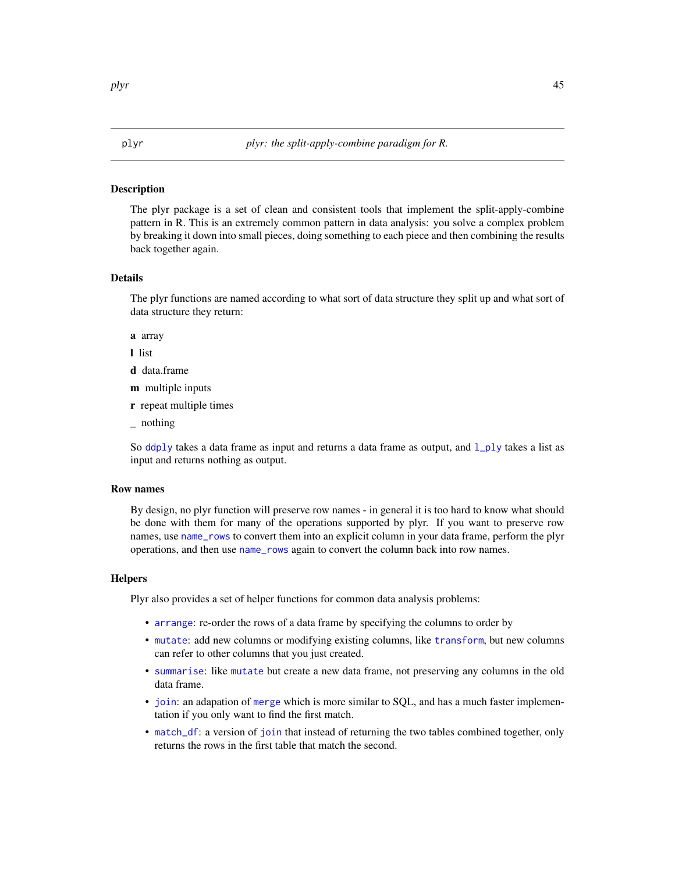<span id="page-44-0"></span>The plyr package is a set of clean and consistent tools that implement the split-apply-combine pattern in R. This is an extremely common pattern in data analysis: you solve a complex problem by breaking it down into small pieces, doing something to each piece and then combining the results back together again.

# Details

The plyr functions are named according to what sort of data structure they split up and what sort of data structure they return:

a array

l list

- d data.frame
- m multiple inputs
- r repeat multiple times
- \_ nothing

So [ddply](#page-17-1) takes a data frame as input and returns a data frame as output, and  $1$ <sub>ply</sub> takes a list as input and returns nothing as output.

#### Row names

By design, no plyr function will preserve row names - in general it is too hard to know what should be done with them for many of the operations supported by plyr. If you want to preserve row names, use [name\\_rows](#page-42-1) to convert them into an explicit column in your data frame, perform the plyr operations, and then use [name\\_rows](#page-42-1) again to convert the column back into row names.

#### **Helpers**

Plyr also provides a set of helper functions for common data analysis problems:

- [arrange](#page-8-1): re-order the rows of a data frame by specifying the columns to order by
- [mutate](#page-40-1): add new columns or modifying existing columns, like [transform](#page-0-0), but new columns can refer to other columns that you just created.
- [summarise](#page-57-1): like [mutate](#page-40-1) but create a new data frame, not preserving any columns in the old data frame.
- [join](#page-26-1): an adapation of [merge](#page-0-0) which is more similar to SQL, and has a much faster implementation if you only want to find the first match.
- [match\\_df](#page-36-1): a version of [join](#page-26-1) that instead of returning the two tables combined together, only returns the rows in the first table that match the second.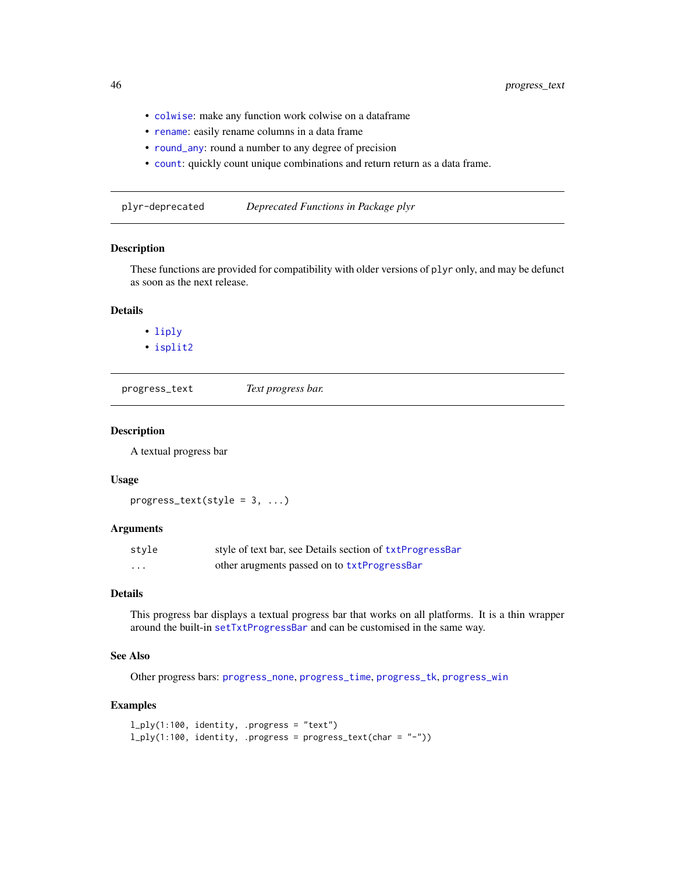- [colwise](#page-12-1): make any function work colwise on a dataframe
- [rename](#page-52-2): easily rename columns in a data frame
- [round\\_any](#page-54-1): round a number to any degree of precision
- [count](#page-14-1): quickly count unique combinations and return return as a data frame.

<span id="page-45-2"></span>plyr-deprecated *Deprecated Functions in Package plyr*

# Description

These functions are provided for compatibility with older versions of plyr only, and may be defunct as soon as the next release.

# Details

- [liply](#page-30-1)
- [isplit2](#page-0-0)

<span id="page-45-1"></span>progress\_text *Text progress bar.*

#### Description

A textual progress bar

#### Usage

```
progress_text(style = 3, ...)
```
#### Arguments

| style             | style of text bar, see Details section of txtProgressBar |
|-------------------|----------------------------------------------------------|
| $\cdot\cdot\cdot$ | other arugments passed on to txtProgressBar              |

# Details

This progress bar displays a textual progress bar that works on all platforms. It is a thin wrapper around the built-in [setTxtProgressBar](#page-0-0) and can be customised in the same way.

#### See Also

Other progress bars: [progress\\_none](#page-0-0), [progress\\_time](#page-46-2), [progress\\_tk](#page-46-1), [progress\\_win](#page-47-1)

```
l_ply(1:100, identity, .progress = "text")
l_ply(1:100, identity, .progress = progress_text(char = "-"))
```
<span id="page-45-0"></span>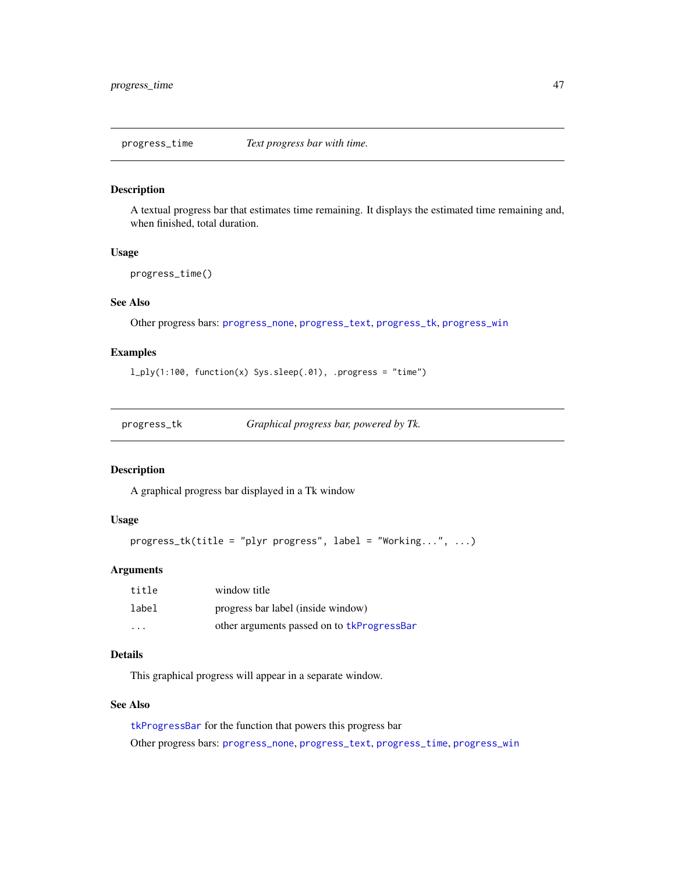<span id="page-46-2"></span><span id="page-46-0"></span>progress\_time *Text progress bar with time.*

#### Description

A textual progress bar that estimates time remaining. It displays the estimated time remaining and, when finished, total duration.

#### Usage

progress\_time()

# See Also

Other progress bars: [progress\\_none](#page-0-0), [progress\\_text](#page-45-1), [progress\\_tk](#page-46-1), [progress\\_win](#page-47-1)

# Examples

l\_ply(1:100, function(x) Sys.sleep(.01), .progress = "time")

<span id="page-46-1"></span>

| progress_tk | Graphical progress bar, powered by Tk. |
|-------------|----------------------------------------|
|             |                                        |

#### Description

A graphical progress bar displayed in a Tk window

# Usage

```
progress_tk(title = "plyr progress", label = "Working...", ...)
```
# Arguments

| title                   | window title                               |
|-------------------------|--------------------------------------------|
| label                   | progress bar label (inside window)         |
| $\cdot$ $\cdot$ $\cdot$ | other arguments passed on to tkProgressBar |

# Details

This graphical progress will appear in a separate window.

# See Also

[tkProgressBar](#page-0-0) for the function that powers this progress bar Other progress bars: [progress\\_none](#page-0-0), [progress\\_text](#page-45-1), [progress\\_time](#page-46-2), [progress\\_win](#page-47-1)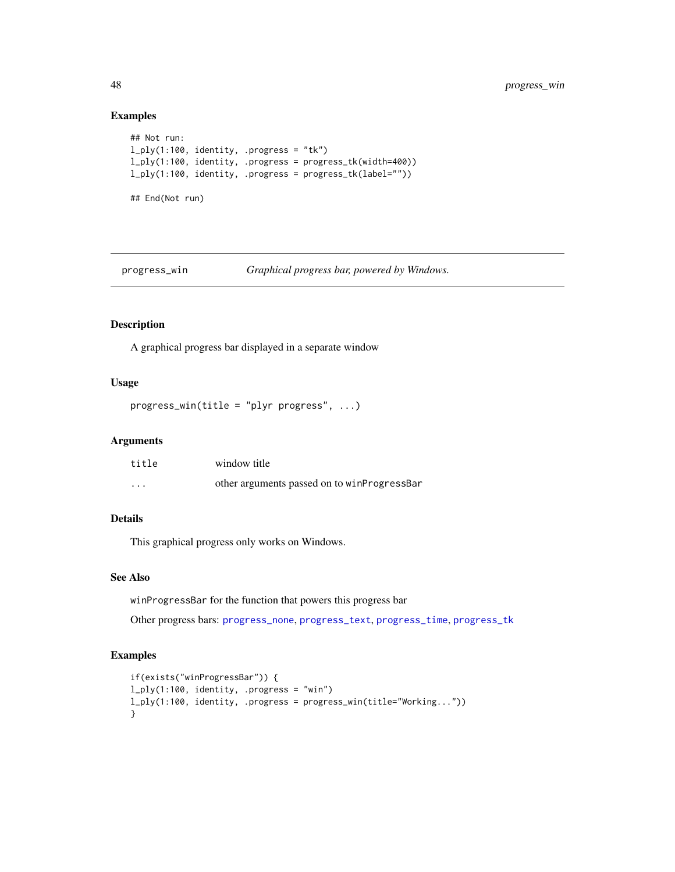# Examples

```
## Not run:
l_ply(1:100, identity, .progress = "tk")
l_ply(1:100, identity, .progress = progress_tk(width=400))
l_ply(1:100, identity, .progress = progress_tk(label=""))
## End(Not run)
```
<span id="page-47-1"></span>

progress\_win *Graphical progress bar, powered by Windows.*

# Description

A graphical progress bar displayed in a separate window

# Usage

```
progress_win(title = "plyr progress", ...)
```
#### Arguments

| title    | window title                                |
|----------|---------------------------------------------|
| $\cdots$ | other arguments passed on to winProgressBar |

# Details

This graphical progress only works on Windows.

# See Also

winProgressBar for the function that powers this progress bar

Other progress bars: [progress\\_none](#page-0-0), [progress\\_text](#page-45-1), [progress\\_time](#page-46-2), [progress\\_tk](#page-46-1)

```
if(exists("winProgressBar")) {
l_ply(1:100, identity, .progress = "win")
l_ply(1:100, identity, .progress = progress_win(title="Working..."))
}
```
<span id="page-47-0"></span>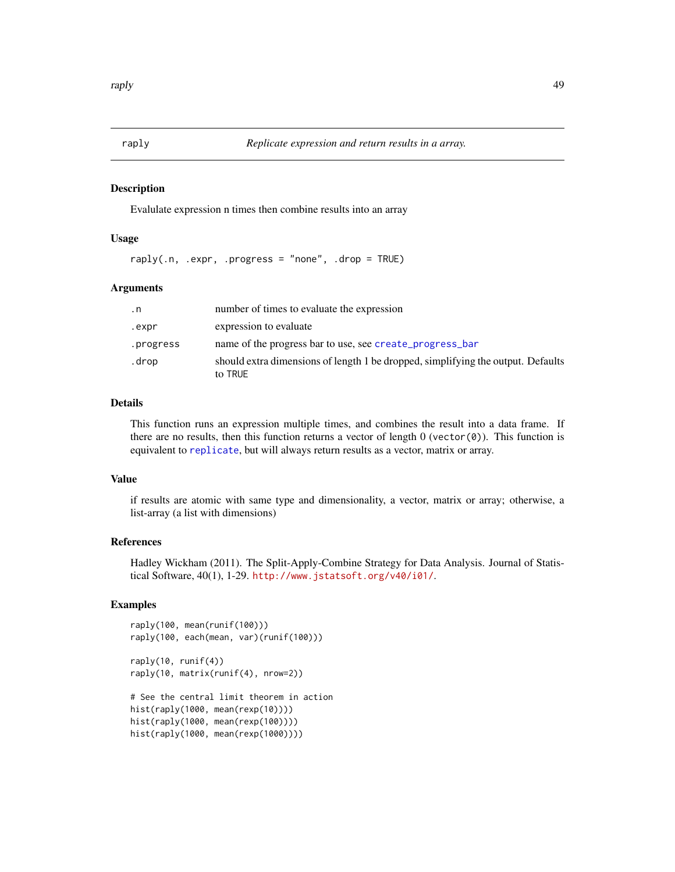<span id="page-48-0"></span>

Evalulate expression n times then combine results into an array

#### Usage

raply(.n, .expr, .progress = "none", .drop = TRUE)

#### Arguments

| . n       | number of times to evaluate the expression                                                  |
|-----------|---------------------------------------------------------------------------------------------|
| .expr     | expression to evaluate                                                                      |
| .progress | name of the progress bar to use, see create_progress_bar                                    |
| .drop     | should extra dimensions of length 1 be dropped, simplifying the output. Defaults<br>to TRUE |

#### Details

This function runs an expression multiple times, and combines the result into a data frame. If there are no results, then this function returns a vector of length  $0$  (vector $(0)$ ). This function is equivalent to [replicate](#page-0-0), but will always return results as a vector, matrix or array.

#### Value

if results are atomic with same type and dimensionality, a vector, matrix or array; otherwise, a list-array (a list with dimensions)

# References

Hadley Wickham (2011). The Split-Apply-Combine Strategy for Data Analysis. Journal of Statistical Software, 40(1), 1-29. <http://www.jstatsoft.org/v40/i01/>.

```
raply(100, mean(runif(100)))
raply(100, each(mean, var)(runif(100)))
raply(10, runif(4))
raply(10, matrix(runif(4), nrow=2))
# See the central limit theorem in action
hist(raply(1000, mean(rexp(10))))
hist(raply(1000, mean(rexp(100))))
hist(raply(1000, mean(rexp(1000))))
```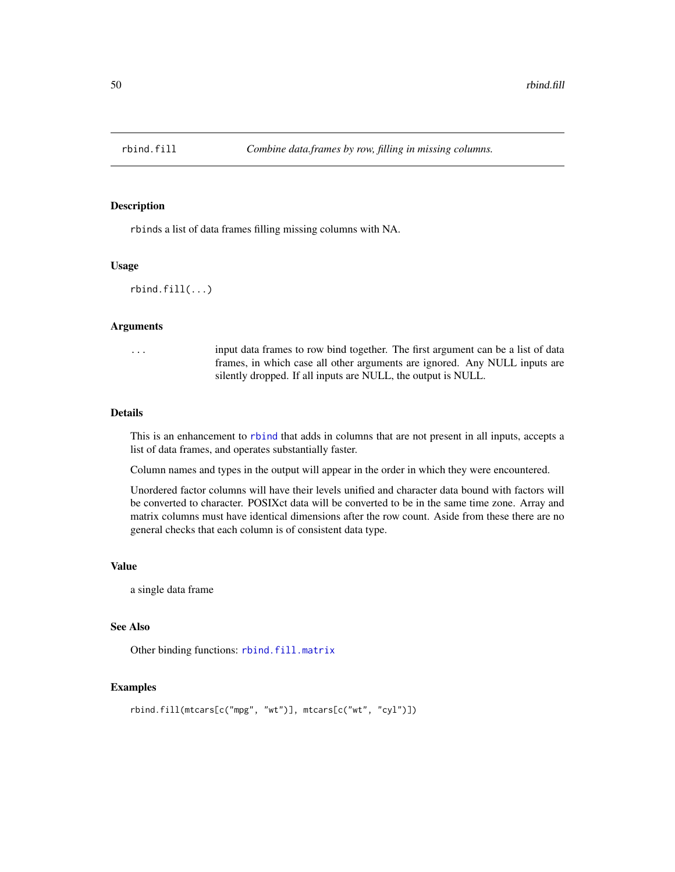<span id="page-49-1"></span><span id="page-49-0"></span>

rbinds a list of data frames filling missing columns with NA.

# Usage

```
rbind.fill(...)
```
# Arguments

... input data frames to row bind together. The first argument can be a list of data frames, in which case all other arguments are ignored. Any NULL inputs are silently dropped. If all inputs are NULL, the output is NULL.

# Details

This is an enhancement to [rbind](#page-0-0) that adds in columns that are not present in all inputs, accepts a list of data frames, and operates substantially faster.

Column names and types in the output will appear in the order in which they were encountered.

Unordered factor columns will have their levels unified and character data bound with factors will be converted to character. POSIXct data will be converted to be in the same time zone. Array and matrix columns must have identical dimensions after the row count. Aside from these there are no general checks that each column is of consistent data type.

#### Value

a single data frame

#### See Also

Other binding functions: [rbind.fill.matrix](#page-50-1)

```
rbind.fill(mtcars[c("mpg", "wt")], mtcars[c("wt", "cyl")])
```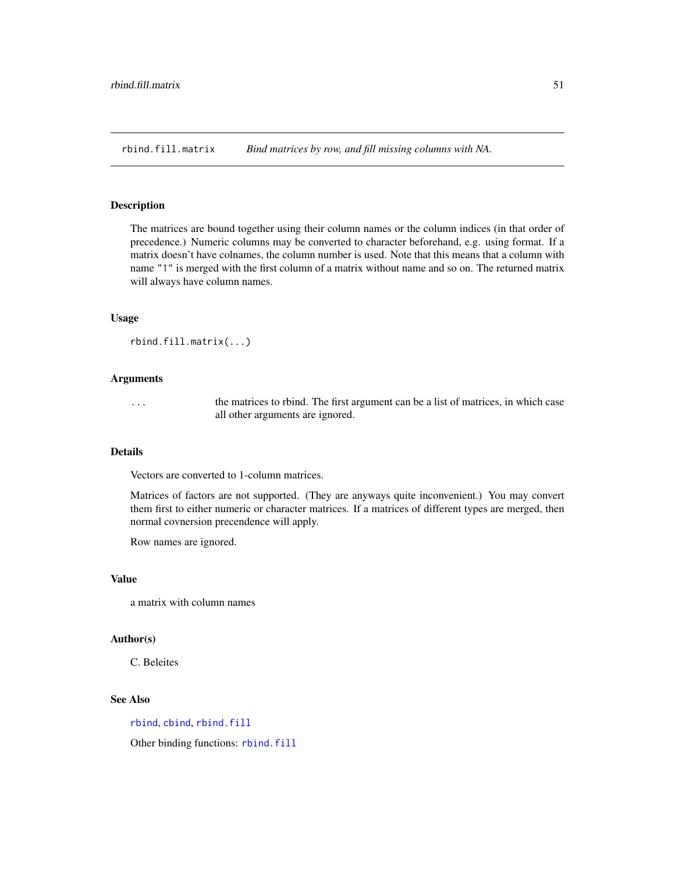<span id="page-50-1"></span><span id="page-50-0"></span>rbind.fill.matrix *Bind matrices by row, and fill missing columns with NA.*

# Description

The matrices are bound together using their column names or the column indices (in that order of precedence.) Numeric columns may be converted to character beforehand, e.g. using format. If a matrix doesn't have colnames, the column number is used. Note that this means that a column with name "1" is merged with the first column of a matrix without name and so on. The returned matrix will always have column names.

#### Usage

```
rbind.fill.matrix(...)
```
#### Arguments

... the matrices to rbind. The first argument can be a list of matrices, in which case all other arguments are ignored.

#### Details

Vectors are converted to 1-column matrices.

Matrices of factors are not supported. (They are anyways quite inconvenient.) You may convert them first to either numeric or character matrices. If a matrices of different types are merged, then normal covnersion precendence will apply.

Row names are ignored.

#### Value

a matrix with column names

#### Author(s)

C. Beleites

# See Also

[rbind](#page-0-0), [cbind](#page-0-0), [rbind.fill](#page-49-1)

Other binding functions: [rbind.fill](#page-49-1)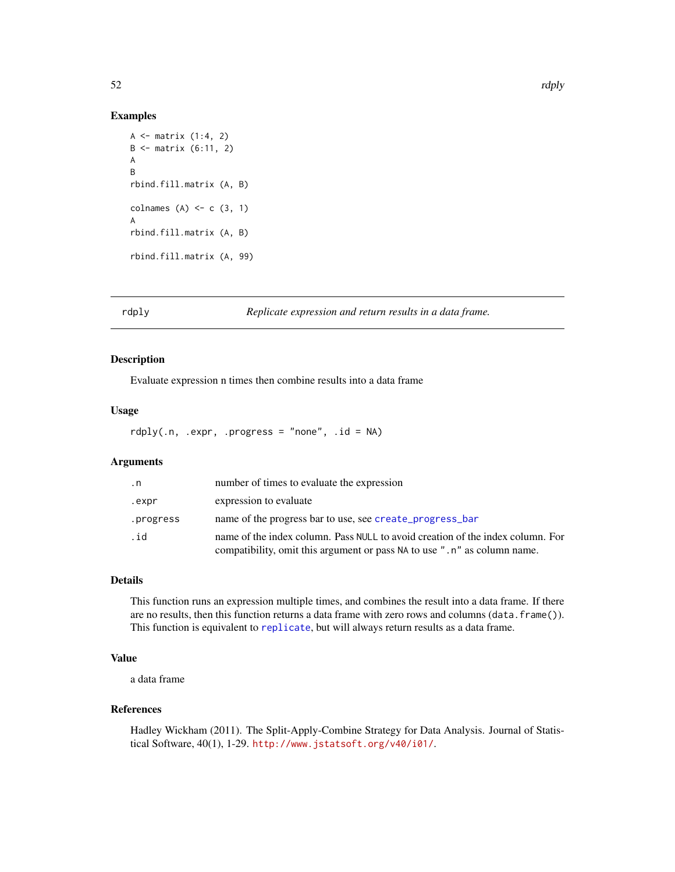#### Examples

```
A \leq matrix (1:4, 2)B \le - matrix (6:11, 2)A
B
rbind.fill.matrix (A, B)
colnames (A) \leftarrow c (3, 1)A
rbind.fill.matrix (A, B)
rbind.fill.matrix (A, 99)
```
rdply *Replicate expression and return results in a data frame.*

# Description

Evaluate expression n times then combine results into a data frame

#### Usage

 $rdply( .n, .expr, .progress = "none", .id = NA)$ 

# Arguments

| $\cdot$ n | number of times to evaluate the expression                                                                                                                 |
|-----------|------------------------------------------------------------------------------------------------------------------------------------------------------------|
| .expr     | expression to evaluate                                                                                                                                     |
| .progress | name of the progress bar to use, see create_progress_bar                                                                                                   |
| .id       | name of the index column. Pass NULL to avoid creation of the index column. For<br>compatibility, omit this argument or pass NA to use ".n" as column name. |

# Details

This function runs an expression multiple times, and combines the result into a data frame. If there are no results, then this function returns a data frame with zero rows and columns (data.frame()). This function is equivalent to [replicate](#page-0-0), but will always return results as a data frame.

# Value

a data frame

#### References

Hadley Wickham (2011). The Split-Apply-Combine Strategy for Data Analysis. Journal of Statistical Software, 40(1), 1-29. <http://www.jstatsoft.org/v40/i01/>.

<span id="page-51-0"></span>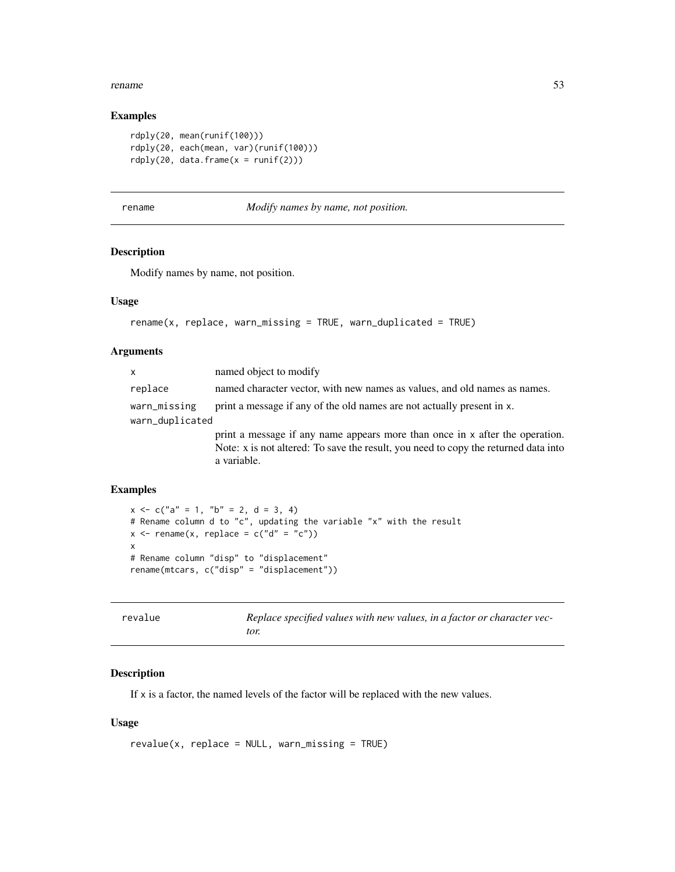#### <span id="page-52-0"></span>rename 53

#### Examples

```
rdply(20, mean(runif(100)))
rdply(20, each(mean, var)(runif(100)))
rdply(20, data.frame(x = runif(2)))
```
<span id="page-52-2"></span>rename *Modify names by name, not position.*

#### Description

Modify names by name, not position.

#### Usage

```
rename(x, replace, warn_missing = TRUE, warn_duplicated = TRUE)
```
# Arguments

| $\mathsf{x}$                    | named object to modify                                                                                                                                                             |
|---------------------------------|------------------------------------------------------------------------------------------------------------------------------------------------------------------------------------|
| replace                         | named character vector, with new names as values, and old names as names.                                                                                                          |
| warn_missing<br>warn_duplicated | print a message if any of the old names are not actually present in x.                                                                                                             |
|                                 | print a message if any name appears more than once in x after the operation.<br>Note: x is not altered: To save the result, you need to copy the returned data into<br>a variable. |

# Examples

```
x \leq -c("a" = 1, "b" = 2, d = 3, 4)# Rename column d to "c", updating the variable "x" with the result
x \le - rename(x, replace = c("d" = "c"))
x
# Rename column "disp" to "displacement"
rename(mtcars, c("disp" = "displacement"))
```
<span id="page-52-1"></span>

| revalue | Replace specified values with new values, in a factor or character vec- |  |  |
|---------|-------------------------------------------------------------------------|--|--|
|         | tor.                                                                    |  |  |

#### Description

If x is a factor, the named levels of the factor will be replaced with the new values.

# Usage

```
revalue(x, replace = NULL, warn_missing = TRUE)
```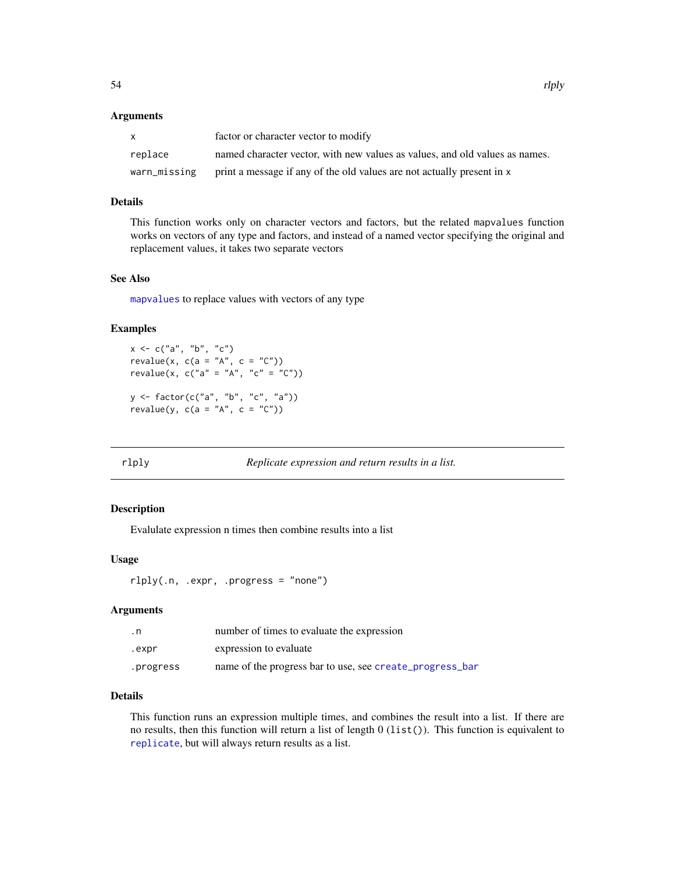#### <span id="page-53-0"></span>Arguments

| X            | factor or character vector to modify                                        |
|--------------|-----------------------------------------------------------------------------|
| replace      | named character vector, with new values as values, and old values as names. |
| warn_missing | print a message if any of the old values are not actually present in x      |

# Details

This function works only on character vectors and factors, but the related mapvalues function works on vectors of any type and factors, and instead of a named vector specifying the original and replacement values, it takes two separate vectors

#### See Also

[mapvalues](#page-35-1) to replace values with vectors of any type

#### Examples

```
x \leq -c("a", "b", "c")revalue(x, c(a = "A", c = "C"))
revalue(x, c("a" = "A", "c" = "C"))y <- factor(c("a", "b", "c", "a"))
revalue(y, c(a = "A", c = "C"))
```
rlply *Replicate expression and return results in a list.*

# Description

Evalulate expression n times then combine results into a list

#### Usage

rlply(.n, .expr, .progress = "none")

#### Arguments

| . n       | number of times to evaluate the expression               |
|-----------|----------------------------------------------------------|
| .expr     | expression to evaluate                                   |
| .progress | name of the progress bar to use, see create_progress_bar |

# Details

This function runs an expression multiple times, and combines the result into a list. If there are no results, then this function will return a list of length 0 (list()). This function is equivalent to [replicate](#page-0-0), but will always return results as a list.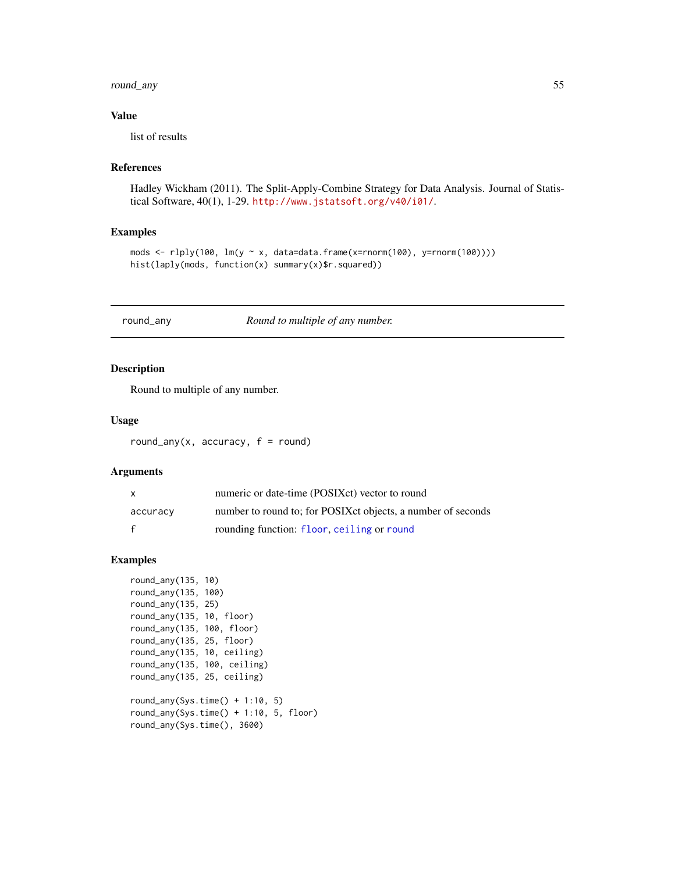# <span id="page-54-0"></span>round\_any 55

#### Value

list of results

# References

Hadley Wickham (2011). The Split-Apply-Combine Strategy for Data Analysis. Journal of Statistical Software, 40(1), 1-29. <http://www.jstatsoft.org/v40/i01/>.

#### Examples

```
mods <- rlply(100, lm(y ~ x, data=data.frame(x=rnorm(100), y=rnorm(100))))
hist(laply(mods, function(x) summary(x)$r.squared))
```
<span id="page-54-1"></span>round\_any *Round to multiple of any number.*

# Description

Round to multiple of any number.

#### Usage

round\_any(x, accuracy,  $f = round$ )

# Arguments

| X            | numeric or date-time (POSIXct) vector to round                |
|--------------|---------------------------------------------------------------|
| accuracy     | number to round to; for POSIX et objects, a number of seconds |
| $\mathbf{f}$ | rounding function: floor, ceiling or round                    |

#### Examples

```
round_any(135, 10)
round_any(135, 100)
round_any(135, 25)
round_any(135, 10, floor)
round_any(135, 100, floor)
round_any(135, 25, floor)
round_any(135, 10, ceiling)
round_any(135, 100, ceiling)
round_any(135, 25, ceiling)
round_any(Sys.time() + 1:10, 5)
```
round\_any(Sys.time() + 1:10, 5, floor) round\_any(Sys.time(), 3600)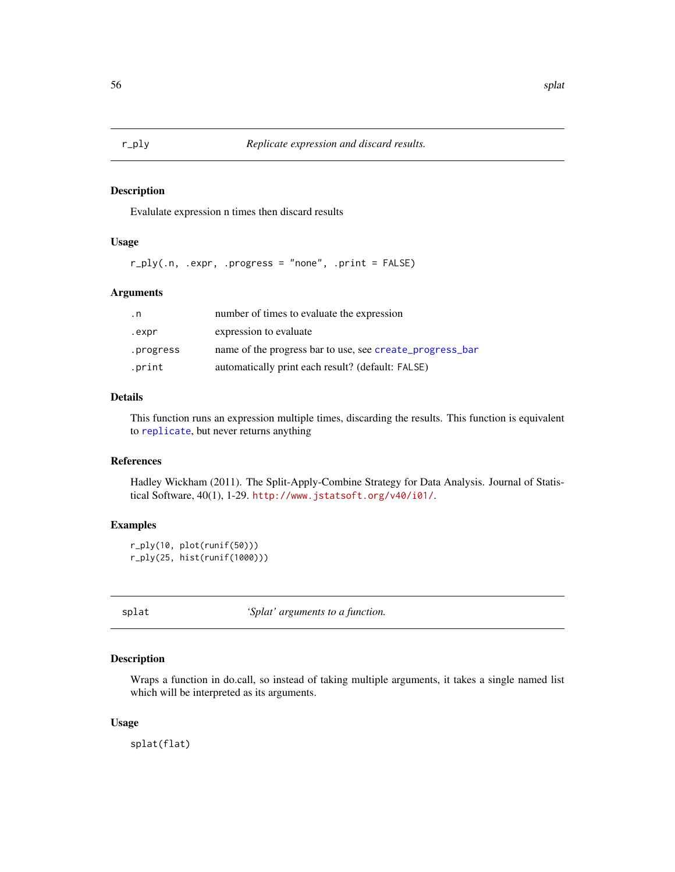<span id="page-55-0"></span>

Evalulate expression n times then discard results

# Usage

r\_ply(.n, .expr, .progress = "none", .print = FALSE)

#### Arguments

| . n       | number of times to evaluate the expression               |
|-----------|----------------------------------------------------------|
| .expr     | expression to evaluate                                   |
| .progress | name of the progress bar to use, see create_progress_bar |
| .print    | automatically print each result? (default: FALSE)        |

# Details

This function runs an expression multiple times, discarding the results. This function is equivalent to [replicate](#page-0-0), but never returns anything

# References

Hadley Wickham (2011). The Split-Apply-Combine Strategy for Data Analysis. Journal of Statistical Software, 40(1), 1-29. <http://www.jstatsoft.org/v40/i01/>.

#### Examples

```
r_ply(10, plot(runif(50)))
r_ply(25, hist(runif(1000)))
```
<span id="page-55-1"></span>splat *'Splat' arguments to a function.*

# Description

Wraps a function in do.call, so instead of taking multiple arguments, it takes a single named list which will be interpreted as its arguments.

#### Usage

splat(flat)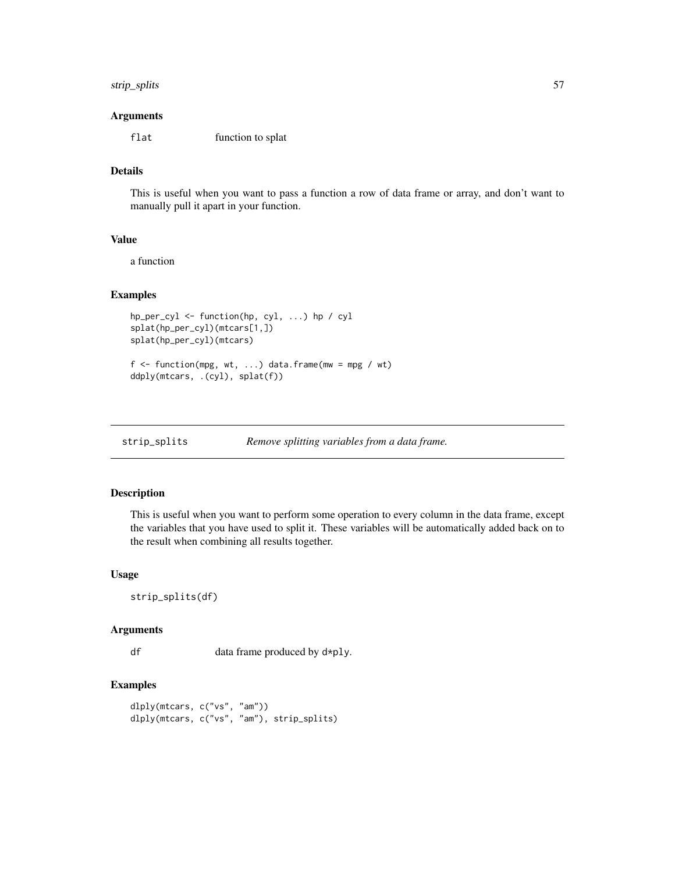# <span id="page-56-0"></span>strip\_splits 57

#### Arguments

flat function to splat

# Details

This is useful when you want to pass a function a row of data frame or array, and don't want to manually pull it apart in your function.

# Value

a function

# Examples

```
hp_per_cyl <- function(hp, cyl, ...) hp / cyl
splat(hp_per_cyl)(mtcars[1,])
splat(hp_per_cyl)(mtcars)
f \leftarrow function(mpg, wt, ...) data.frame(mw = mpg / wt)
ddply(mtcars, .(cyl), splat(f))
```

| strip_splits | Remove splitting variables from a data frame. |
|--------------|-----------------------------------------------|
|              |                                               |

#### Description

This is useful when you want to perform some operation to every column in the data frame, except the variables that you have used to split it. These variables will be automatically added back on to the result when combining all results together.

#### Usage

```
strip_splits(df)
```
# Arguments

df data frame produced by d\*ply.

```
dlply(mtcars, c("vs", "am"))
dlply(mtcars, c("vs", "am"), strip_splits)
```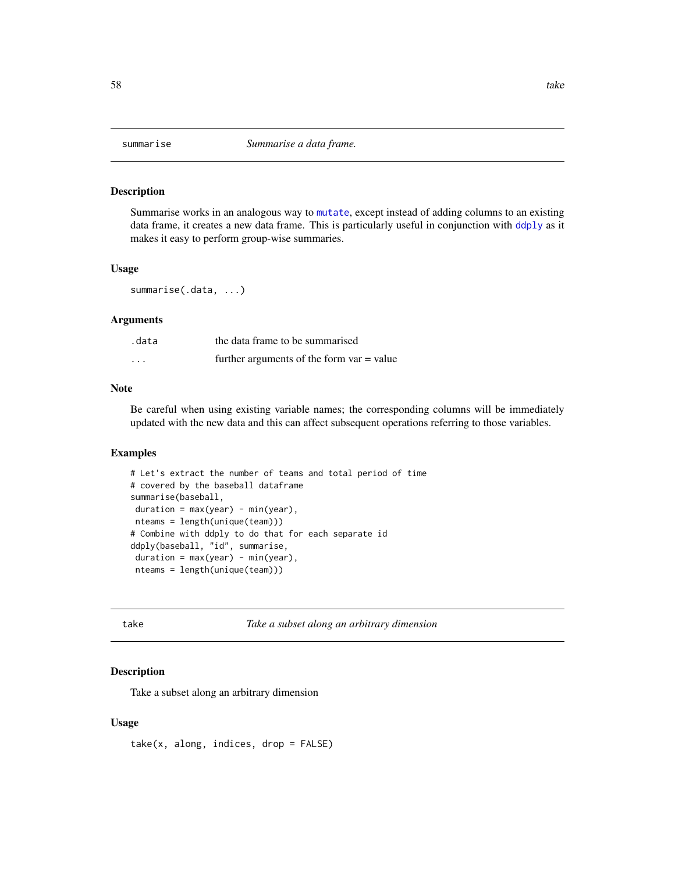<span id="page-57-1"></span><span id="page-57-0"></span>

Summarise works in an analogous way to [mutate](#page-40-1), except instead of adding columns to an existing data frame, it creates a new data frame. This is particularly useful in conjunction with [ddply](#page-17-1) as it makes it easy to perform group-wise summaries.

#### Usage

summarise(.data, ...)

# Arguments

| .data             | the data frame to be summarised             |  |
|-------------------|---------------------------------------------|--|
| $\cdot\cdot\cdot$ | further arguments of the form $var = value$ |  |

#### Note

Be careful when using existing variable names; the corresponding columns will be immediately updated with the new data and this can affect subsequent operations referring to those variables.

# Examples

```
# Let's extract the number of teams and total period of time
# covered by the baseball dataframe
summarise(baseball,
duration = max(year) - min(year),
nteams = length(unique(team)))
# Combine with ddply to do that for each separate id
ddply(baseball, "id", summarise,
duration = max(year) - min(year),
nteams = length(unique(team)))
```
take *Take a subset along an arbitrary dimension*

# Description

Take a subset along an arbitrary dimension

#### Usage

 $take(x, along, indices, drop = FALSE)$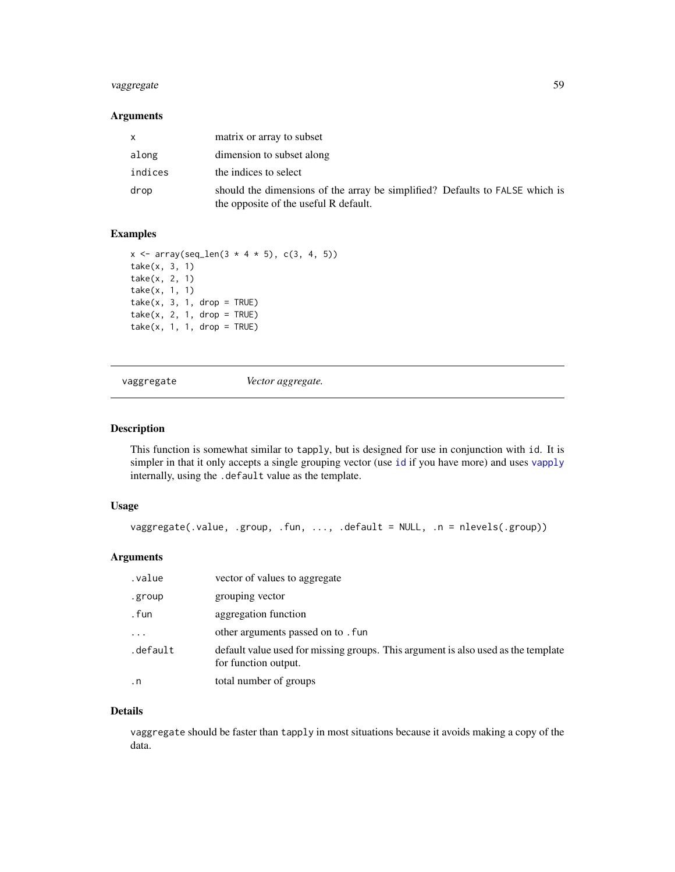# <span id="page-58-0"></span>vaggregate 59

# Arguments

|         | matrix or array to subset                                                                                             |
|---------|-----------------------------------------------------------------------------------------------------------------------|
| along   | dimension to subset along                                                                                             |
| indices | the indices to select                                                                                                 |
| drop    | should the dimensions of the array be simplified? Defaults to FALSE which is<br>the opposite of the useful R default. |

#### Examples

```
x \le -\arctan(\sec^{-1} 3 \cdot 4 \cdot 5), \, c(3, 4, 5))take(x, 3, 1)
take(x, 2, 1)
take(x, 1, 1)
take(x, 3, 1, drop = TRUE)take(x, 2, 1, drop = TRUE)take(x, 1, 1, drop = TRUE)
```
vaggregate *Vector aggregate.*

# Description

This function is somewhat similar to tapply, but is designed for use in conjunction with id. It is simpler in that it only accepts a single grouping vector (use [id](#page-0-0) if you have more) and uses [vapply](#page-0-0) internally, using the .default value as the template.

#### Usage

```
vaggregate(.value, .group, .fun, ..., .default = NULL, .n = nlevels(.group))
```
# Arguments

| value.    | vector of values to aggregate                                                                             |
|-----------|-----------------------------------------------------------------------------------------------------------|
| .group    | grouping vector                                                                                           |
| . fun     | aggregation function                                                                                      |
| $\ddots$  | other arguments passed on to . fun                                                                        |
| .default  | default value used for missing groups. This argument is also used as the template<br>for function output. |
| $\cdot$ n | total number of groups                                                                                    |

#### Details

vaggregate should be faster than tapply in most situations because it avoids making a copy of the data.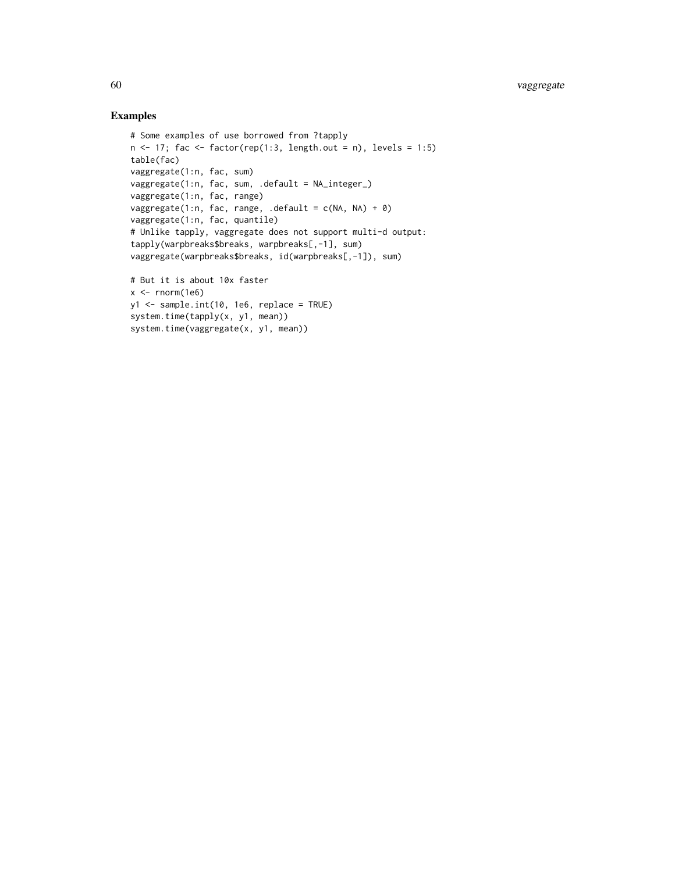```
# Some examples of use borrowed from ?tapply
n \le -17; fac \le factor(rep(1:3, length.out = n), levels = 1:5)
table(fac)
vaggregate(1:n, fac, sum)
vaggregate(1:n, fac, sum, .default = NA_integer_)
vaggregate(1:n, fac, range)
vaggregate(1:n, fac, range, .default = c(NA, NA) + 0)
vaggregate(1:n, fac, quantile)
# Unlike tapply, vaggregate does not support multi-d output:
tapply(warpbreaks$breaks, warpbreaks[,-1], sum)
vaggregate(warpbreaks$breaks, id(warpbreaks[,-1]), sum)
# But it is about 10x faster
x < - rnorm(1e6)
y1 <- sample.int(10, 1e6, replace = TRUE)
system.time(tapply(x, y1, mean))
system.time(vaggregate(x, y1, mean))
```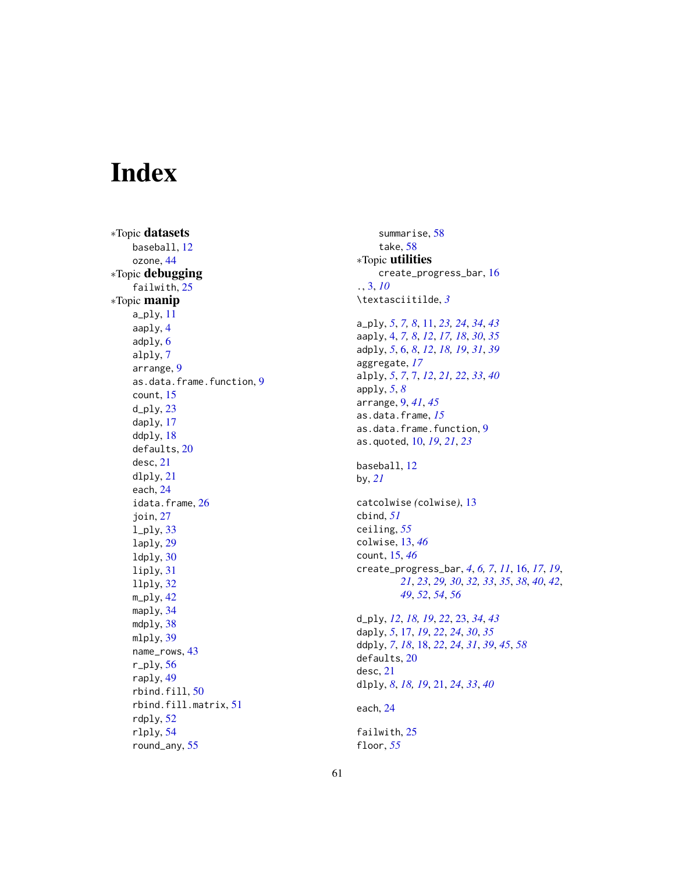# <span id="page-60-0"></span>Index

∗Topic datasets baseball , [12](#page-11-0) ozone , [44](#page-43-0) ∗Topic debugging failwith, [25](#page-24-0) ∗Topic manip a\_ply , [11](#page-10-0) aaply , [4](#page-3-0) adply , [6](#page-5-0) alply , [7](#page-6-0) arrange , [9](#page-8-0) as.data.frame.function , [9](#page-8-0) count , [15](#page-14-0) d\_ply , [23](#page-22-0) daply , [17](#page-16-0) ddply , [18](#page-17-0) defaults , [20](#page-19-0) desc , [21](#page-20-0) dlply , [21](#page-20-0) each , [24](#page-23-0) idata.frame, [26](#page-25-0) join , [27](#page-26-0) l\_ply , [33](#page-32-0) laply , [29](#page-28-0) ldply , [30](#page-29-0) liply , [31](#page-30-0) llply , [32](#page-31-0) m\_ply , [42](#page-41-0) maply, [34](#page-33-0) mdply, [38](#page-37-0) mlply , [39](#page-38-0) name\_rows , [43](#page-42-0) r\_ply , [56](#page-55-0) raply , [49](#page-48-0) rbind.fill, [50](#page-49-0) rbind.fill.matrix , [51](#page-50-0) rdply , [52](#page-51-0) rlply , [54](#page-53-0) round\_any , [55](#page-54-0)

summarise, [58](#page-57-0) take , [58](#page-57-0) ∗Topic utilities create\_progress\_bar , [16](#page-15-0) . , [3](#page-2-0) , *[10](#page-9-0)* \textasciitilde , *[3](#page-2-0)* a\_ply , *[5](#page-4-0)* , *[7,](#page-6-0) [8](#page-7-0)* , [11](#page-10-0) , *[23](#page-22-0) , [24](#page-23-0)* , *[34](#page-33-0)* , *[43](#page-42-0)* aaply , [4](#page-3-0) , *[7,](#page-6-0) [8](#page-7-0)* , *[12](#page-11-0)* , *[17,](#page-16-0) [18](#page-17-0)* , *[30](#page-29-0)* , *[35](#page-34-0)* adply , *[5](#page-4-0)* , [6](#page-5-0) , *[8](#page-7-0)* , *[12](#page-11-0)* , *[18](#page-17-0) , [19](#page-18-0)* , *[31](#page-30-0)* , *[39](#page-38-0)* aggregate , *[17](#page-16-0)* alply , *[5](#page-4-0)* , *[7](#page-6-0)* , [7](#page-6-0) , *[12](#page-11-0)* , *[21](#page-20-0) , [22](#page-21-0)* , *[33](#page-32-0)* , *[40](#page-39-0)* apply , *[5](#page-4-0)* , *[8](#page-7-0)* arrange , [9](#page-8-0) , *[41](#page-40-0)* , *[45](#page-44-0)* as.data.frame , *[15](#page-14-0)* as.data.frame.function , [9](#page-8-0) as.quoted , [10](#page-9-0) , *[19](#page-18-0)* , *[21](#page-20-0)* , *[23](#page-22-0)* baseball , [12](#page-11-0) by , *[21](#page-20-0)* catcolwise *(*colwise *)* , [13](#page-12-0) cbind , *[51](#page-50-0)* ceiling , *[55](#page-54-0)* colwise , [13](#page-12-0) , *[46](#page-45-0)* count , [15](#page-14-0) , *[46](#page-45-0)* create\_progress\_bar , *[4](#page-3-0)* , *[6,](#page-5-0) [7](#page-6-0)* , *[11](#page-10-0)* , [16](#page-15-0) , *[17](#page-16-0)* , *[19](#page-18-0)* , *[21](#page-20-0)* , *[23](#page-22-0)* , *[29](#page-28-0) , [30](#page-29-0)* , *[32](#page-31-0) , [33](#page-32-0)* , *[35](#page-34-0)* , *[38](#page-37-0)* , *[40](#page-39-0)* , *[42](#page-41-0)* , *[49](#page-48-0)* , *[52](#page-51-0)* , *[54](#page-53-0)* , *[56](#page-55-0)* d\_ply , *[12](#page-11-0)* , *[18](#page-17-0) , [19](#page-18-0)* , *[22](#page-21-0)* , [23](#page-22-0) , *[34](#page-33-0)* , *[43](#page-42-0)* daply , *[5](#page-4-0)* , [17](#page-16-0) , *[19](#page-18-0)* , *[22](#page-21-0)* , *[24](#page-23-0)* , *[30](#page-29-0)* , *[35](#page-34-0)* ddply , *[7](#page-6-0)* , *[18](#page-17-0)* , [18](#page-17-0) , *[22](#page-21-0)* , *[24](#page-23-0)* , *[31](#page-30-0)* , *[39](#page-38-0)* , *[45](#page-44-0)* , *[58](#page-57-0)* defaults , [20](#page-19-0) desc , [21](#page-20-0) dlply , *[8](#page-7-0)* , *[18](#page-17-0) , [19](#page-18-0)* , [21](#page-20-0) , *[24](#page-23-0)* , *[33](#page-32-0)* , *[40](#page-39-0)* each , [24](#page-23-0) failwith, [25](#page-24-0) floor , *[55](#page-54-0)*